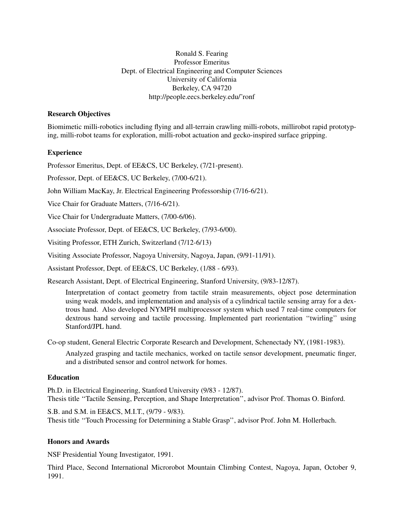Ronald S. Fearing Professor Emeritus Dept. of Electrical Engineering and Computer Sciences University of California Berkeley, CA 94720 http://people.eecs.berkeley.edu/˜ronf

# **Research Objectives**

Biomimetic milli-robotics including flying and all-terrain crawling milli-robots, millirobot rapid prototyping, milli-robot teams for exploration, milli-robot actuation and gecko-inspired surface gripping.

# **Experience**

Professor Emeritus, Dept. of EE&CS, UC Berkeley, (7/21-present).

Professor, Dept. of EE&CS, UC Berkeley, (7/00-6/21).

John William MacKay, Jr. Electrical Engineering Professorship (7/16-6/21).

Vice Chair for Graduate Matters, (7/16-6/21).

Vice Chair for Undergraduate Matters, (7/00-6/06).

Associate Professor, Dept. of EE&CS, UC Berkeley, (7/93-6/00).

Visiting Professor, ETH Zurich, Switzerland (7/12-6/13)

Visiting Associate Professor, Nagoya University, Nagoya, Japan, (9/91-11/91).

Assistant Professor, Dept. of EE&CS, UC Berkeley, (1/88 - 6/93).

Research Assistant, Dept. of Electrical Engineering, Stanford University, (9/83-12/87).

Interpretation of contact geometry from tactile strain measurements, object pose determination using weak models, and implementation and analysis of a cylindrical tactile sensing array for a dextrous hand. Also developed NYMPH multiprocessor system which used 7 real-time computers for dextrous hand servoing and tactile processing. Implemented part reorientation ''twirling'' using Stanford/JPL hand.

Co-op student, General Electric Corporate Research and Development, Schenectady NY, (1981-1983).

Analyzed grasping and tactile mechanics, worked on tactile sensor development, pneumatic finger, and a distributed sensor and control network for homes.

# **Education**

Ph.D. in Electrical Engineering, Stanford University (9/83 - 12/87). Thesis title ''Tactile Sensing, Perception, and Shape Interpretation'', advisor Prof. Thomas O. Binford.

S.B. and S.M. in EE&CS, M.I.T., (9/79 - 9/83). Thesis title ''Touch Processing for Determining a Stable Grasp'', advisor Prof. John M. Hollerbach.

# **Honors and Awards**

NSF Presidential Young Investigator, 1991.

Third Place, Second International Microrobot Mountain Climbing Contest, Nagoya, Japan, October 9, 1991.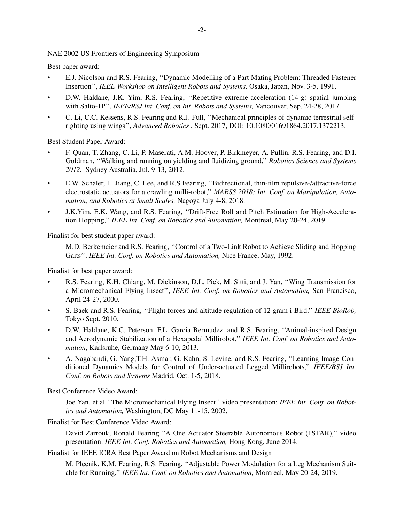NAE 2002 US Frontiers of Engineering Symposium

Best paper award:

- E.J. Nicolson and R.S. Fearing, ''Dynamic Modelling of a Part Mating Problem: Threaded Fastener Insertion'', *IEEE Workshop on Intelligent Robots and Systems,* Osaka, Japan, Nov. 3-5, 1991.
- D.W. Haldane, J.K. Yim, R.S. Fearing, ''Repetitive extreme-acceleration (14-g) spatial jumping with Salto-1P'', *IEEE/RSJ Int. Conf. on Int. Robots and Systems,* Vancouver, Sep. 24-28, 2017.
- C. Li, C.C. Kessens, R.S. Fearing and R.J. Full, ''Mechanical principles of dynamic terrestrial selfrighting using wings'', *Advanced Robotics* , Sept. 2017, DOI: 10.1080/01691864.2017.1372213.

Best Student Paper Award:

- F. Quan, T. Zhang, C. Li, P. Maserati, A.M. Hoover, P. Birkmeyer, A. Pullin, R.S. Fearing, and D.I. Goldman, ''Walking and running on yielding and fluidizing ground,'' *Robotics Science and Systems 2012.* Sydney Australia, Jul. 9-13, 2012.
- E.W. Schaler, L. Jiang, C. Lee, and R.S.Fearing, ''Bidirectional, thin-film repulsive-/attractive-force electrostatic actuators for a crawling milli-robot,'' *MARSS 2018: Int. Conf. on Manipulation, Automation, and Robotics at Small Scales,* Nagoya July 4-8, 2018.
- J.K.Yim, E.K. Wang, and R.S. Fearing, ''Drift-Free Roll and Pitch Estimation for High-Acceleration Hopping,'' *IEEE Int. Conf. on Robotics and Automation,* Montreal, May 20-24, 2019.

Finalist for best student paper award:

M.D. Berkemeier and R.S. Fearing, ''Control of a Two-Link Robot to Achieve Sliding and Hopping Gaits'', *IEEE Int. Conf. on Robotics and Automation,* Nice France, May, 1992.

Finalist for best paper award:

- R.S. Fearing, K.H. Chiang, M. Dickinson, D.L. Pick, M. Sitti, and J. Yan, ''Wing Transmission for a Micromechanical Flying Insect'', *IEEE Int. Conf. on Robotics and Automation,* San Francisco, April 24-27, 2000.
- S. Baek and R.S. Fearing, ''Flight forces and altitude regulation of 12 gram i-Bird,'' *IEEE BioRob,* Tokyo Sept. 2010.
- D.W. Haldane, K.C. Peterson, F.L. Garcia Bermudez, and R.S. Fearing, ''Animal-inspired Design and Aerodynamic Stabilization of a Hexapedal Millirobot,'' *IEEE Int. Conf. on Robotics and Automation*, Karlsruhe, Germany May 6-10, 2013.
- A. Nagabandi, G. Yang,T.H. Asmar, G. Kahn, S. Levine, and R.S. Fearing, ''Learning Image-Conditioned Dynamics Models for Control of Under-actuated Legged Millirobots,'' *IEEE/RSJ Int. Conf. on Robots and Systems* Madrid, Oct. 1-5, 2018.

Best Conference Video Award:

Joe Yan, et al ''The Micromechanical Flying Insect'' video presentation: *IEEE Int. Conf. on Robotics and Automation,* Washington, DC May 11-15, 2002.

Finalist for Best Conference Video Award:

David Zarrouk, Ronald Fearing ''A One Actuator Steerable Autonomous Robot (1STAR),'' video presentation: *IEEE Int. Conf. Robotics and Automation,* Hong Kong, June 2014.

Finalist for IEEE ICRA Best Paper Award on Robot Mechanisms and Design

M. Plecnik, K.M. Fearing, R.S. Fearing, ''Adjustable Power Modulation for a Leg Mechanism Suitable for Running,'' *IEEE Int. Conf. on Robotics and Automation,* Montreal, May 20-24, 2019.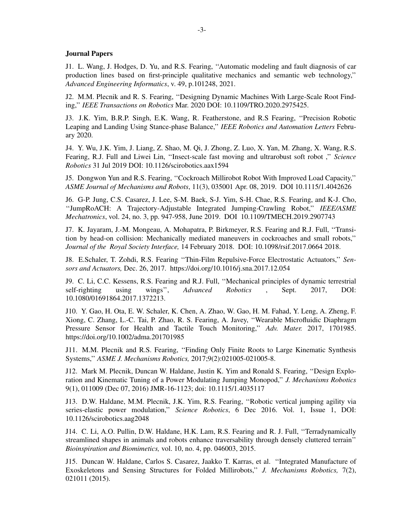#### **Journal Papers**

J1. L. Wang, J. Hodges, D. Yu, and R.S. Fearing, ''Automatic modeling and fault diagnosis of car production lines based on first-principle qualitative mechanics and semantic web technology,'' *Advanced Engineering Informatics*, v. 49, p.101248, 2021.

J2. M.M. Plecnik and R. S. Fearing, ''Designing Dynamic Machines With Large-Scale Root Finding,'' *IEEE Transactions on Robotics* Mar. 2020 DOI: 10.1109/TRO.2020.2975425.

J3. J.K. Yim, B.R.P. Singh, E.K. Wang, R. Featherstone, and R.S Fearing, ''Precision Robotic Leaping and Landing Using Stance-phase Balance,'' *IEEE Robotics and Automation Letters* February 2020.

J4. Y. Wu, J.K. Yim, J. Liang, Z. Shao, M. Qi, J. Zhong, Z. Luo, X. Yan, M. Zhang, X. Wang, R.S. Fearing, R.J. Full and Liwei Lin, ''Insect-scale fast moving and ultrarobust soft robot ,'' *Science Robotics* 31 Jul 2019 DOI: 10.1126/scirobotics.aax1594

J5. Dongwon Yun and R.S. Fearing, ''Cockroach Millirobot Robot With Improved Load Capacity,'' *ASME Journal of Mechanisms and Robots*, 11(3), 035001 Apr. 08, 2019. DOI 10.1115/1.4042626

J6. G-P. Jung, C.S. Casarez, J. Lee, S-M. Baek, S-J. Yim, S-H. Chae, R.S. Fearing, and K-J. Cho, ''JumpRoACH: A Trajectory-Adjustable Integrated Jumping-Crawling Robot,'' *IEEE/ASME Mechatronics*, vol. 24, no. 3, pp. 947-958, June 2019. DOI 10.1109/TMECH.2019.2907743

J7. K. Jayaram, J.-M. Mongeau, A. Mohapatra, P. Birkmeyer, R.S. Fearing and R.J. Full, ''Transition by head-on collision: Mechanically mediated maneuvers in cockroaches and small robots,'' *Journal of the Royal Society Interface,* 14 February 2018. DOI: 10.1098/rsif.2017.0664 2018.

J8. E.Schaler, T. Zohdi, R.S. Fearing ''Thin-Film Repulsive-Force Electrostatic Actuators,'' *Sensors and Actuators,* Dec. 26, 2017. https://doi.org/10.1016/j.sna.2017.12.054

J9. C. Li, C.C. Kessens, R.S. Fearing and R.J. Full, ''Mechanical principles of dynamic terrestrial self-righting using wings'', *Advanced Robotics* , Sept. 2017, DOI: 10.1080/01691864.2017.1372213.

J10. Y. Gao, H. Ota, E. W. Schaler, K. Chen, A. Zhao, W. Gao, H. M. Fahad, Y. Leng, A. Zheng, F. Xiong, C. Zhang, L.-C. Tai, P. Zhao, R. S. Fearing, A. Javey, ''Wearable Microfluidic Diaphragm Pressure Sensor for Health and Tactile Touch Monitoring,'' *Adv. Mater.* 2017, 1701985. https://doi.org/10.1002/adma.201701985

J11. M.M. Plecnik and R.S. Fearing, ''Finding Only Finite Roots to Large Kinematic Synthesis Systems,'' *ASME J. Mechanisms Robotics,* 2017;9(2):021005-021005-8.

J12. Mark M. Plecnik, Duncan W. Haldane, Justin K. Yim and Ronald S. Fearing, ''Design Exploration and Kinematic Tuning of a Power Modulating Jumping Monopod,'' *J. Mechanisms Robotics* 9(1), 011009 (Dec 07, 2016) JMR-16-1123; doi: 10.1115/1.4035117

J13. D.W. Haldane, M.M. Plecnik, J.K. Yim, R.S. Fearing, ''Robotic vertical jumping agility via series-elastic power modulation," *Science Robotics*, 6 Dec 2016. Vol. 1, Issue 1, DOI: 10.1126/scirobotics.aag2048

J14. C. Li, A.O. Pullin, D.W. Haldane, H.K. Lam, R.S. Fearing and R. J. Full, ''Terradynamically streamlined shapes in animals and robots enhance traversability through densely cluttered terrain'' *Bioinspiration and Biomimetics,* vol. 10, no. 4, pp. 046003, 2015.

J15. Duncan W. Haldane, Carlos S. Casarez, Jaakko T. Karras, et al. ''Integrated Manufacture of Exoskeletons and Sensing Structures for Folded Millirobots,'' *J. Mechanisms Robotics,* 7(2), 021011 (2015).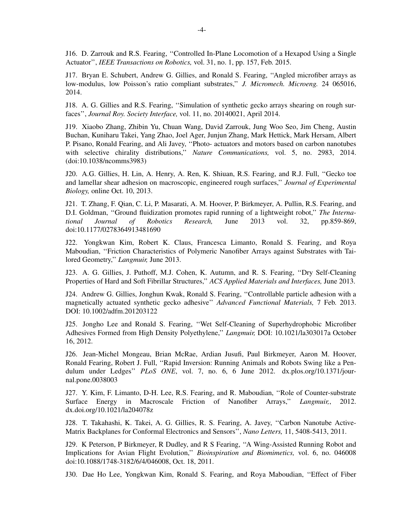J16. D. Zarrouk and R.S. Fearing, ''Controlled In-Plane Locomotion of a Hexapod Using a Single Actuator'', *IEEE Transactions on Robotics,* vol. 31, no. 1, pp. 157, Feb. 2015.

J17. Bryan E. Schubert, Andrew G. Gillies, and Ronald S. Fearing, ''Angled microfiber arrays as low-modulus, low Poisson's ratio compliant substrates,'' *J. Micromech. Microeng.* 24 065016, 2014.

J18. A. G. Gillies and R.S. Fearing, ''Simulation of synthetic gecko arrays shearing on rough surfaces'', *Journal Roy. Society Interface,* vol. 11, no. 20140021, April 2014.

J19. Xiaobo Zhang, Zhibin Yu, Chuan Wang, David Zarrouk, Jung Woo Seo, Jim Cheng, Austin Buchan, Kuniharu Takei, Yang Zhao, Joel Ager, Junjun Zhang, Mark Hettick, Mark Hersam, Albert P. Pisano, Ronald Fearing, and Ali Javey, ''Photo- actuators and motors based on carbon nanotubes with selective chirality distributions,'' *Nature Communications,* vol. 5, no. 2983, 2014. (doi:10.1038/ncomms3983)

J20. A.G. Gillies, H. Lin, A. Henry, A. Ren, K. Shiuan, R.S. Fearing, and R.J. Full, ''Gecko toe and lamellar shear adhesion on macroscopic, engineered rough surfaces,'' *Journal of Experimental Biology,* online Oct. 10, 2013.

J21. T. Zhang, F. Qian, C. Li, P. Masarati, A. M. Hoover, P. Birkmeyer, A. Pullin, R.S. Fearing, and D.I. Goldman, ''Ground fluidization promotes rapid running of a lightweight robot,'' *The International Journal of Robotics Research,* June 2013 vol. 32, pp.859-869, doi:10.1177/0278364913481690

J22. Yongkwan Kim, Robert K. Claus, Francesca Limanto, Ronald S. Fearing, and Roya Maboudian, ''Friction Characteristics of Polymeric Nanofiber Arrays against Substrates with Tailored Geometry,'' *Langmuir,* June 2013.

J23. A. G. Gillies, J. Puthoff, M.J. Cohen, K. Autumn, and R. S. Fearing, ''Dry Self-Cleaning Properties of Hard and Soft Fibrillar Structures,'' *ACS Applied Materials and Interfaces,* June 2013.

J24. Andrew G. Gillies, Jonghun Kwak, Ronald S. Fearing, ''Controllable particle adhesion with a magnetically actuated synthetic gecko adhesive'' *Advanced Functional Materials,* 7 Feb. 2013. DOI: 10.1002/adfm.201203122

J25. Jongho Lee and Ronald S. Fearing, ''Wet Self-Cleaning of Superhydrophobic Microfiber Adhesives Formed from High Density Polyethylene,'' *Langmuir,* DOI: 10.1021/la303017a October 16, 2012.

J26. Jean-Michel Mongeau, Brian McRae, Ardian Jusufi, Paul Birkmeyer, Aaron M. Hoover, Ronald Fearing, Robert J. Full, "Rapid Inversion: Running Animals and Robots Swing like a Pendulum under Ledges'' *PLoS ONE*, vol. 7, no. 6, 6 June 2012. dx.plos.org/10.1371/journal.pone.0038003

J27. Y. Kim, F. Limanto, D-H. Lee, R.S. Fearing, and R. Maboudian, ''Role of Counter-substrate Surface Energy in Macroscale Friction of Nanofiber Arrays,'' *Langmuir,*, 2012. dx.doi.org/10.1021/la204078z

J28. T. Takahashi, K. Takei, A. G. Gillies, R. S. Fearing, A. Javey, ''Carbon Nanotube Active-Matrix Backplanes for Conformal Electronics and Sensors'', *Nano Letters,* 11, 5408-5413, 2011.

J29. K Peterson, P Birkmeyer, R Dudley, and R S Fearing, "A Wing-Assisted Running Robot and Implications for Avian Flight Evolution,'' *Bioinspiration and Biomimetics,* vol. 6, no. 046008 doi:10.1088/1748-3182/6/4/046008, Oct. 18, 2011.

J30. Dae Ho Lee, Yongkwan Kim, Ronald S. Fearing, and Roya Maboudian, ''Effect of Fiber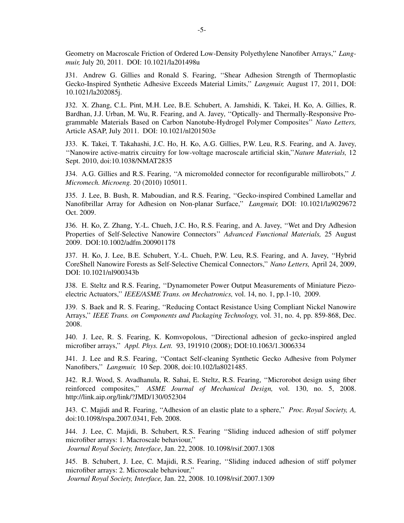Geometry on Macroscale Friction of Ordered Low-Density Polyethylene Nanofiber Arrays,'' *Langmuir,* July 20, 2011. DOI: 10.1021/la201498u

J31. Andrew G. Gillies and Ronald S. Fearing, ''Shear Adhesion Strength of Thermoplastic Gecko-Inspired Synthetic Adhesive Exceeds Material Limits,'' *Langmuir,* August 17, 2011, DOI: 10.1021/la202085j.

J32. X. Zhang, C.L. Pint, M.H. Lee, B.E. Schubert, A. Jamshidi, K. Takei, H. Ko, A. Gillies, R. Bardhan, J.J. Urban, M. Wu, R. Fearing, and A. Javey, ''Optically- and Thermally-Responsive Programmable Materials Based on Carbon Nanotube-Hydrogel Polymer Composites'' *Nano Letters,* Article ASAP, July 2011. DOI: 10.1021/nl201503e

J33. K. Takei, T. Takahashi, J.C. Ho, H. Ko, A.G. Gillies, P.W. Leu, R.S. Fearing, and A. Javey, ''Nanowire active-matrix circuitry for low-voltage macroscale artificial skin,''*Nature Materials,* 12 Sept. 2010, doi:10.1038/NMAT2835

J34. A.G. Gillies and R.S. Fearing, ''A micromolded connector for reconfigurable millirobots,'' *J. Micromech. Microeng.* 20 (2010) 105011.

J35. J. Lee, B. Bush, R. Maboudian, and R.S. Fearing, ''Gecko-inspired Combined Lamellar and Nanofibrillar Array for Adhesion on Non-planar Surface,'' *Langmuir,* DOI: 10.1021/la9029672 Oct. 2009.

J36. H. Ko, Z. Zhang, Y.-L. Chueh, J.C. Ho, R.S. Fearing, and A. Javey, ''Wet and Dry Adhesion Properties of Self-Selective Nanowire Connectors'' *Advanced Functional Materials,* 25 August 2009. DOI:10.1002/adfm.200901178

J37. H. Ko, J. Lee, B.E. Schubert, Y.-L. Chueh, P.W. Leu, R.S. Fearing, and A. Javey, ''Hybrid CoreShell Nanowire Forests as Self-Selective Chemical Connectors,'' *Nano Letters,* April 24, 2009, DOI: 10.1021/nl900343b

J38. E. Steltz and R.S. Fearing, ''Dynamometer Power Output Measurements of Miniature Piezoelectric Actuators,'' *IEEE/ASME Trans. on Mechatronics,* vol. 14, no. 1, pp.1-10, 2009.

J39. S. Baek and R. S. Fearing, ''Reducing Contact Resistance Using Compliant Nickel Nanowire Arrays,'' *IEEE Trans. on Components and Packaging Technology,* vol. 31, no. 4, pp. 859-868, Dec. 2008.

J40. J. Lee, R. S. Fearing, K. Komvopolous, ''Directional adhesion of gecko-inspired angled microfiber arrays,'' *Appl. Phys. Lett.* 93, 191910 (2008); DOI:10.1063/1.3006334

J41. J. Lee and R.S. Fearing, ''Contact Self-cleaning Synthetic Gecko Adhesive from Polymer Nanofibers,'' *Langmuir,* 10 Sep. 2008, doi:10.102/la8021485.

J42. R.J. Wood, S. Avadhanula, R. Sahai, E. Steltz, R.S. Fearing, ''Microrobot design using fiber reinforced composites,'' *ASME Journal of Mechanical Design,* vol. 130, no. 5, 2008. http://link.aip.org/link/?JMD/130/052304

J43. C. Majidi and R. Fearing, ''Adhesion of an elastic plate to a sphere,'' *Proc. Royal Society, A,* doi:10.1098/rspa.2007.0341, Feb. 2008.

J44. J. Lee, C. Majidi, B. Schubert, R.S. Fearing ''Sliding induced adhesion of stiff polymer microfiber arrays: 1. Macroscale behaviour,'' *Journal Royal Society, Interface*, Jan. 22, 2008. 10.1098/rsif.2007.1308

J45. B. Schubert, J. Lee, C. Majidi, R.S. Fearing, ''Sliding induced adhesion of stiff polymer

microfiber arrays: 2. Microscale behaviour,'' *Journal Royal Society, Interface,* Jan. 22, 2008. 10.1098/rsif.2007.1309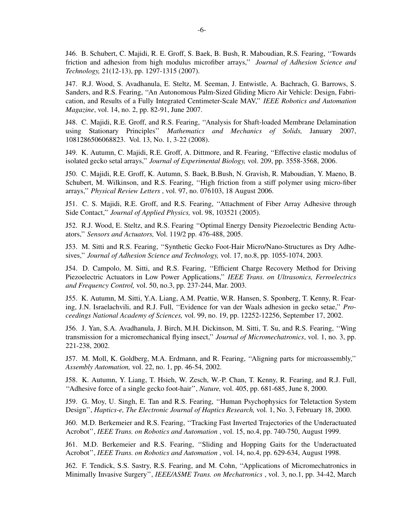J46. B. Schubert, C. Majidi, R. E. Groff, S. Baek, B. Bush, R. Maboudian, R.S. Fearing, "Towards friction and adhesion from high modulus microfiber arrays,'' *Journal of Adhesion Science and Technology,* 21(12-13), pp. 1297-1315 (2007).

J47. R.J. Wood, S. Avadhanula, E. Steltz, M. Seeman, J. Entwistle, A. Bachrach, G. Barrows, S. Sanders, and R.S. Fearing, ''An Autonomous Palm-Sized Gliding Micro Air Vehicle: Design, Fabrication, and Results of a Fully Integrated Centimeter-Scale MAV," IEEE Robotics and Automation *Magazine*, vol. 14, no. 2, pp. 82-91, June 2007.

J48. C. Majidi, R.E. Groff, and R.S. Fearing, ''Analysis for Shaft-loaded Membrane Delamination using Stationary Principles'' *Mathematics and Mechanics of Solids,* January 2007, 1081286506068823. Vol. 13, No. 1, 3-22 (2008).

J49. K. Autumn, C. Majidi, R.E. Groff, A. Dittmore, and R. Fearing, ''Effective elastic modulus of isolated gecko setal arrays,'' *Journal of Experimental Biology,* vol. 209, pp. 3558-3568, 2006.

J50. C. Majidi, R.E. Groff, K. Autumn, S. Baek, B.Bush, N. Gravish, R. Maboudian, Y. Maeno, B. Schubert, M. Wilkinson, and R.S. Fearing, ''High friction from a stiff polymer using micro-fiber arrays,'' *Physical Review Letters* , vol. 97, no. 076103, 18 August 2006.

J51. C. S. Majidi, R.E. Groff, and R.S. Fearing, ''Attachment of Fiber Array Adhesive through Side Contact,'' *Journal of Applied Physics,* vol. 98, 103521 (2005).

J52. R.J. Wood, E. Steltz, and R.S. Fearing ''Optimal Energy Density Piezoelectric Bending Actuators,'' *Sensors and Actuators,* Vol. 119/2 pp. 476-488, 2005.

J53. M. Sitti and R.S. Fearing, ''Synthetic Gecko Foot-Hair Micro/Nano-Structures as Dry Adhesives,'' *Journal of Adhesion Science and Technology,* vol. 17, no.8, pp. 1055-1074, 2003.

J54. D. Campolo, M. Sitti, and R.S. Fearing, ''Efficient Charge Recovery Method for Driving Piezoelectric Actuators in Low Power Applications,'' *IEEE Trans. on Ultrasonics, Ferroelectrics and Frequency Control,* vol. 50, no.3, pp. 237-244, Mar. 2003.

J55. K. Autumn, M. Sitti, Y.A. Liang, A.M. Peattie, W.R. Hansen, S. Sponberg, T. Kenny, R. Fearing, J.N. Israelachvili, and R.J. Full, ''Evidence for van der Waals adhesion in gecko setae,'' *Proceedings National Academy of Sciences,* vol. 99, no. 19, pp. 12252-12256, September 17, 2002.

J56. J. Yan, S.A. Avadhanula, J. Birch, M.H. Dickinson, M. Sitti, T. Su, and R.S. Fearing, ''Wing transmission for a micromechanical flying insect,'' *Journal of Micromechatronics*, vol. 1, no. 3, pp. 221-238, 2002.

J57. M. Moll, K. Goldberg, M.A. Erdmann, and R. Fearing, ''Aligning parts for microassembly,'' *Assembly Automation,* vol. 22, no. 1, pp. 46-54, 2002.

J58. K. Autumn, Y. Liang, T. Hsieh, W. Zesch, W.-P. Chan, T. Kenny, R. Fearing, and R.J. Full, ''Adhesive force of a single gecko foot-hair'', *Nature,* vol. 405, pp. 681-685, June 8, 2000.

J59. G. Moy, U. Singh, E. Tan and R.S. Fearing, ''Human Psychophysics for Teletaction System Design'', *Haptics-e, The Electronic Journal of Haptics Research,* vol. 1, No. 3, February 18, 2000.

J60. M.D. Berkemeier and R.S. Fearing, ''Tracking Fast Inverted Trajectories of the Underactuated Acrobot'', *IEEE Trans. on Robotics and Automation* , vol. 15, no.4, pp. 740-750, August 1999.

J61. M.D. Berkemeier and R.S. Fearing, ''Sliding and Hopping Gaits for the Underactuated Acrobot'', *IEEE Trans. on Robotics and Automation* , vol. 14, no.4, pp. 629-634, August 1998.

J62. F. Tendick, S.S. Sastry, R.S. Fearing, and M. Cohn, ''Applications of Micromechatronics in Minimally Invasive Surgery'', *IEEE/ASME Trans. on Mechatronics* , vol. 3, no.1, pp. 34-42, March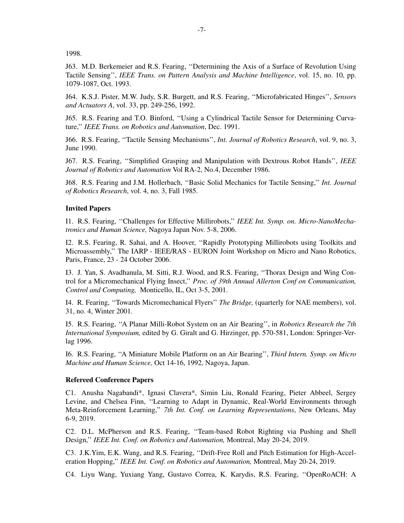1998.

J63. M.D. Berkemeier and R.S. Fearing, ''Determining the Axis of a Surface of Revolution Using Tactile Sensing'', *IEEE Trans. on Pattern Analysis and Machine Intelligence*, vol. 15, no. 10, pp. 1079-1087, Oct. 1993.

J64. K.S.J. Pister, M.W. Judy, S.R. Burgett, and R.S. Fearing, ''Microfabricated Hinges'', *Sensors and Actuators A*, vol. 33, pp. 249-256, 1992.

J65. R.S. Fearing and T.O. Binford, ''Using a Cylindrical Tactile Sensor for Determining Curvature,'' *IEEE Trans. on Robotics and Automation*, Dec. 1991.

J66. R.S. Fearing, ''Tactile Sensing Mechanisms'', *Int. Journal of Robotics Research*, vol. 9, no. 3, June 1990.

J67. R.S. Fearing, ''Simplified Grasping and Manipulation with Dextrous Robot Hands'', *IEEE Journal of Robotics and Automation* Vol RA-2, No.4, December 1986.

J68. R.S. Fearing and J.M. Hollerbach, ''Basic Solid Mechanics for Tactile Sensing,'' *Int. Journal of Robotics Research*, vol. 4, no. 3, Fall 1985.

### **Invited Papers**

I1. R.S. Fearing, ''Challenges for Effective Millirobots,'' *IEEE Int. Symp. on. Micro-NanoMechatronics and Human Science,* Nagoya Japan Nov. 5-8, 2006.

I2. R.S. Fearing, R. Sahai, and A. Hoover, ''Rapidly Prototyping Millirobots using Toolkits and Microassembly,'' The IARP - IEEE/RAS - EURON Joint Workshop on Micro and Nano Robotics, Paris, France, 23 - 24 October 2006.

I3. J. Yan, S. Avadhanula, M. Sitti, R.J. Wood, and R.S. Fearing, ''Thorax Design and Wing Control for a Micromechanical Flying Insect,'' *Proc. of 39th Annual Allerton Conf on Communication, Control and Computing,* Monticello, IL, Oct 3-5, 2001.

I4. R. Fearing, ''Tow ards Micromechanical Flyers'' *The Bridge,* (quarterly for NAE members), vol. 31, no. 4, Winter 2001.

I5. R.S. Fearing, ''A Planar Milli-Robot System on an Air Bearing'', in *Robotics Research the 7th International Symposium,* edited by G. Giralt and G. Hirzinger, pp. 570-581, London: Springer-Verlag 1996.

I6. R.S. Fearing, ''A Miniature Mobile Platform on an Air Bearing'', *Third Intern. Symp. on Micro Machine and Human Science,* Oct 14-16, 1992, Nagoya, Japan.

#### **Refereed Conference Papers**

C1. Anusha Nagabandi\*, Ignasi Clavera\*, Simin Liu, Ronald Fearing, Pieter Abbeel, Sergey Levine, and Chelsea Finn, ''Learning to Adapt in Dynamic, Real-World Environments through Meta-Reinforcement Learning,'' *7th Int. Conf. on Learning Representations*, New Orleans, May 6-9, 2019.

C2. D.L. McPherson and R.S. Fearing, ''Team-based Robot Righting via Pushing and Shell Design,'' *IEEE Int. Conf. on Robotics and Automation,* Montreal, May 20-24, 2019.

C3. J.K.Yim, E.K. Wang, and R.S. Fearing, ''Drift-Free Roll and Pitch Estimation for High-Acceleration Hopping,'' *IEEE Int. Conf. on Robotics and Automation,* Montreal, May 20-24, 2019.

C4. Liyu Wang, Yuxiang Yang, Gustavo Correa, K. Karydis, R.S. Fearing, ''OpenRoACH: A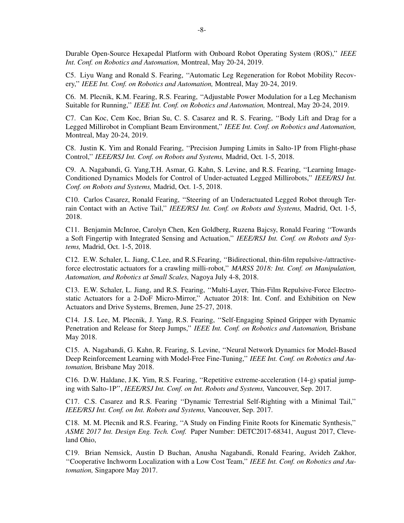Durable Open-Source Hexapedal Platform with Onboard Robot Operating System (ROS),'' *IEEE Int. Conf. on Robotics and Automation,* Montreal, May 20-24, 2019.

C5. Liyu Wang and Ronald S. Fearing, ''Automatic Leg Regeneration for Robot Mobility Recovery,'' *IEEE Int. Conf. on Robotics and Automation,* Montreal, May 20-24, 2019.

C6. M. Plecnik, K.M. Fearing, R.S. Fearing, ''Adjustable Power Modulation for a Leg Mechanism Suitable for Running,'' *IEEE Int. Conf. on Robotics and Automation,* Montreal, May 20-24, 2019.

C7. Can Koc, Cem Koc, Brian Su, C. S. Casarez and R. S. Fearing, ''Body Lift and Drag for a Legged Millirobot in Compliant Beam Environment,'' *IEEE Int. Conf. on Robotics and Automation,* Montreal, May 20-24, 2019.

C8. Justin K. Yim and Ronald Fearing, ''Precision Jumping Limits in Salto-1P from Flight-phase Control,'' *IEEE/RSJ Int. Conf. on Robots and Systems,* Madrid, Oct. 1-5, 2018.

C9. A. Nagabandi, G. Yang,T.H. Asmar, G. Kahn, S. Levine, and R.S. Fearing, ''Learning Image-Conditioned Dynamics Models for Control of Under-actuated Legged Millirobots,'' *IEEE/RSJ Int. Conf. on Robots and Systems,* Madrid, Oct. 1-5, 2018.

C10. Carlos Casarez, Ronald Fearing, ''Steering of an Underactuated Legged Robot through Terrain Contact with an Active Tail,'' *IEEE/RSJ Int. Conf. on Robots and Systems,* Madrid, Oct. 1-5, 2018.

C11. Benjamin McInroe, Carolyn Chen, Ken Goldberg, Ruzena Bajcsy, Ronald Fearing "Towards" a Soft Fingertip with Integrated Sensing and Actuation,'' *IEEE/RSJ Int. Conf. on Robots and Systems,* Madrid, Oct. 1-5, 2018.

C12. E.W. Schaler, L. Jiang, C.Lee, and R.S.Fearing, ''Bidirectional, thin-film repulsive-/attractiveforce electrostatic actuators for a crawling milli-robot,'' *MARSS 2018: Int. Conf. on Manipulation, Automation, and Robotics at Small Scales,* Nagoya July 4-8, 2018.

C13. E.W. Schaler, L. Jiang, and R.S. Fearing, ''Multi-Layer, Thin-Film Repulsive-Force Electrostatic Actuators for a 2-DoF Micro-Mirror,'' Actuator 2018: Int. Conf. and Exhibition on New Actuators and Drive Systems, Bremen, June 25-27, 2018.

C14. J.S. Lee, M. Plecnik, J. Yang, R.S. Fearing, ''Self-Engaging Spined Gripper with Dynamic Penetration and Release for Steep Jumps,'' *IEEE Int. Conf. on Robotics and Automation,* Brisbane May 2018.

C15. A. Nagabandi, G. Kahn, R. Fearing, S. Levine, ''Neural Network Dynamics for Model-Based Deep Reinforcement Learning with Model-Free Fine-Tuning,'' *IEEE Int. Conf. on Robotics and Automation,* Brisbane May 2018.

C16. D.W. Haldane, J.K. Yim, R.S. Fearing, ''Repetitive extreme-acceleration (14-g) spatial jumping with Salto-1P'', *IEEE/RSJ Int. Conf. on Int. Robots and Systems,* Vancouver, Sep. 2017.

C17. C.S. Casarez and R.S. Fearing ''Dynamic Terrestrial Self-Righting with a Minimal Tail,'' *IEEE/RSJ Int. Conf. on Int. Robots and Systems,* Vancouver, Sep. 2017.

C18. M. M. Plecnik and R.S. Fearing, ''A Study on Finding Finite Roots for Kinematic Synthesis,'' *ASME 2017 Int. Design Eng. Tech. Conf.* Paper Number: DETC2017-68341, August 2017, Cleveland Ohio,

C19. Brian Nemsick, Austin D Buchan, Anusha Nagabandi, Ronald Fearing, Avideh Zakhor, ''Cooperative Inchworm Localization with a Low Cost Team,'' *IEEE Int. Conf. on Robotics and Automation,* Singapore May 2017.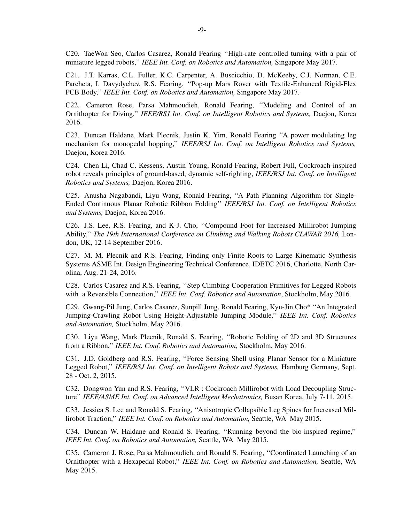C20. TaeWon Seo, Carlos Casarez, Ronald Fearing ''High-rate controlled turning with a pair of miniature legged robots,'' *IEEE Int. Conf. on Robotics and Automation,* Singapore May 2017.

C21. J.T. Karras, C.L. Fuller, K.C. Carpenter, A. Buscicchio, D. McKeeby, C.J. Norman, C.E. Parcheta, I. Davydychev, R.S. Fearing, ''Pop-up Mars Rover with Textile-Enhanced Rigid-Flex PCB Body,'' *IEEE Int. Conf. on Robotics and Automation,* Singapore May 2017.

C22. Cameron Rose, Parsa Mahmoudieh, Ronald Fearing, ''Modeling and Control of an Ornithopter for Diving,'' *IEEE/RSJ Int. Conf. on Intelligent Robotics and Systems,* Daejon, Korea 2016.

C23. Duncan Haldane, Mark Plecnik, Justin K. Yim, Ronald Fearing ''A power modulating leg mechanism for monopedal hopping,'' *IEEE/RSJ Int. Conf. on Intelligent Robotics and Systems,* Daejon, Korea 2016.

C24. Chen Li, Chad C. Kessens, Austin Young, Ronald Fearing, Robert Full, Cockroach-inspired robot reveals principles of ground-based, dynamic self-righting, *IEEE/RSJ Int. Conf. on Intelligent Robotics and Systems,* Daejon, Korea 2016.

C25. Anusha Nagabandi, Liyu Wang, Ronald Fearing, ''A Path Planning Algorithm for Single-Ended Continuous Planar Robotic Ribbon Folding'' *IEEE/RSJ Int. Conf. on Intelligent Robotics and Systems,* Daejon, Korea 2016.

C26. J.S. Lee, R.S. Fearing, and K-J. Cho, ''Compound Foot for Increased Millirobot Jumping Ability,'' *The 19th International Conference on Climbing and Walking Robots CLAWAR 2016,* London, UK, 12-14 September 2016.

C27. M. M. Plecnik and R.S. Fearing, Finding only Finite Roots to Large Kinematic Synthesis Systems ASME Int. Design Engineering Technical Conference, IDETC 2016, Charlotte, North Carolina, Aug. 21-24, 2016.

C28. Carlos Casarez and R.S. Fearing, ''Step Climbing Cooperation Primitives for Legged Robots with a Reversible Connection,'' *IEEE Int. Conf. Robotics and Automation*, Stockholm, May 2016.

C29. Gwang-Pil Jung, Carlos Casarez, Sunpill Jung, Ronald Fearing, Kyu-Jin Cho\* ''An Integrated Jumping-Crawling Robot Using Height-Adjustable Jumping Module,'' *IEEE Int. Conf. Robotics and Automation,* Stockholm, May 2016.

C30. Liyu Wang, Mark Plecnik, Ronald S. Fearing, ''Robotic Folding of 2D and 3D Structures from a Ribbon,'' *IEEE Int. Conf. Robotics and Automation,* Stockholm, May 2016.

C31. J.D. Goldberg and R.S. Fearing, ''Force Sensing Shell using Planar Sensor for a Miniature Legged Robot,'' *IEEE/RSJ Int. Conf. on Intelligent Robots and Systems,* Hamburg Germany, Sept. 28 - Oct. 2, 2015.

C32. Dongwon Yun and R.S. Fearing, ''VLR : Cockroach Millirobot with Load Decoupling Structure'' *IEEE/ASME Int. Conf. on Advanced Intelligent Mechatronics,* Busan Korea, July 7-11, 2015.

C33. Jessica S. Lee and Ronald S. Fearing, ''Anisotropic Collapsible Leg Spines for Increased Millirobot Traction,'' *IEEE Int. Conf. on Robotics and Automation,* Seattle, WA May 2015.

C34. Duncan W. Haldane and Ronald S. Fearing, ''Running beyond the bio-inspired regime,'' *IEEE Int. Conf. on Robotics and Automation,* Seattle, WA May 2015.

C35. Cameron J. Rose, Parsa Mahmoudieh, and Ronald S. Fearing, ''Coordinated Launching of an Ornithopter with a Hexapedal Robot,'' *IEEE Int. Conf. on Robotics and Automation,* Seattle, WA May 2015.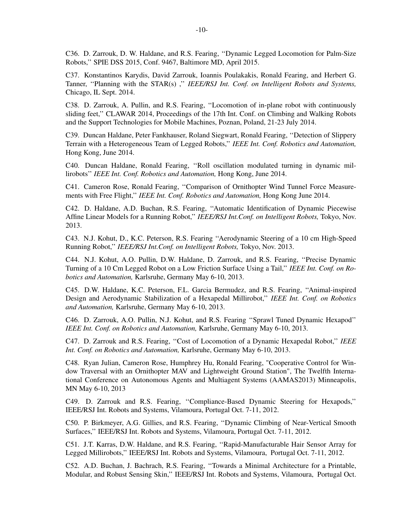C36. D. Zarrouk, D. W. Haldane, and R.S. Fearing, ''Dynamic Legged Locomotion for Palm-Size Robots,'' SPIE DSS 2015, Conf. 9467, Baltimore MD, April 2015.

C37. Konstantinos Karydis, David Zarrouk, Ioannis Poulakakis, Ronald Fearing, and Herbert G. Tanner, "Planning with the STAR(s) ," *IEEE/RSJ Int. Conf. on Intelligent Robots and Systems*, Chicago, IL Sept. 2014.

C38. D. Zarrouk, A. Pullin, and R.S. Fearing, ''Locomotion of in-plane robot with continuously sliding feet,'' CLAWAR 2014, Proceedings of the 17th Int. Conf. on Climbing and Walking Robots and the Support Technologies for Mobile Machines, Poznan, Poland, 21-23 July 2014.

C39. Duncan Haldane, Peter Fankhauser, Roland Siegwart, Ronald Fearing, ''Detection of Slippery Terrain with a Heterogeneous Team of Legged Robots,'' *IEEE Int. Conf. Robotics and Automation,* Hong Kong, June 2014.

C40. Duncan Haldane, Ronald Fearing, ''Roll oscillation modulated turning in dynamic millirobots'' *IEEE Int. Conf. Robotics and Automation,* Hong Kong, June 2014.

C41. Cameron Rose, Ronald Fearing, ''Comparison of Ornithopter Wind Tunnel Force Measurements with Free Flight,'' *IEEE Int. Conf. Robotics and Automation,* Hong Kong June 2014.

C42. D. Haldane, A.D. Buchan, R.S. Fearing, ''Automatic Identification of Dynamic Piecewise Affine Linear Models for a Running Robot,'' *IEEE/RSJ Int.Conf. on Intelligent Robots,* Tokyo, Nov. 2013.

C43. N.J. Kohut, D., K.C. Peterson, R.S. Fearing ''Aerodynamic Steering of a 10 cm High-Speed Running Robot,'' *IEEE/RSJ Int.Conf. on Intelligent Robots,* Tokyo, Nov. 2013.

C44. N.J. Kohut, A.O. Pullin, D.W. Haldane, D. Zarrouk, and R.S. Fearing, ''Precise Dynamic Turning of a 10 Cm Legged Robot on a Low Friction Surface Using a Tail,'' *IEEE Int. Conf. on Robotics and Automation,* Karlsruhe, Germany May 6-10, 2013.

C45. D.W. Haldane, K.C. Peterson, F.L. Garcia Bermudez, and R.S. Fearing, ''Animal-inspired Design and Aerodynamic Stabilization of a Hexapedal Millirobot,'' *IEEE Int. Conf. on Robotics and Automation,* Karlsruhe, Germany May 6-10, 2013.

C46. D. Zarrouk, A.O. Pullin, N.J. Kohut, and R.S. Fearing ''Sprawl Tuned Dynamic Hexapod'' *IEEE Int. Conf. on Robotics and Automation,* Karlsruhe, Germany May 6-10, 2013.

C47. D. Zarrouk and R.S. Fearing, ''Cost of Locomotion of a Dynamic Hexapedal Robot,'' *IEEE Int. Conf. on Robotics and Automation,* Karlsruhe, Germany May 6-10, 2013.

C48. Ryan Julian, Cameron Rose, Humphrey Hu, Ronald Fearing, "Cooperative Control for Window Traversal with an Ornithopter MAV and Lightweight Ground Station", The Twelfth International Conference on Autonomous Agents and Multiagent Systems (AAMAS2013) Minneapolis, MN May 6-10, 2013

C49. D. Zarrouk and R.S. Fearing, ''Compliance-Based Dynamic Steering for Hexapods,'' IEEE/RSJ Int. Robots and Systems, Vilamoura, Portugal Oct. 7-11, 2012.

C50. P. Birkmeyer, A.G. Gillies, and R.S. Fearing, ''Dynamic Climbing of Near-Vertical Smooth Surfaces,'' IEEE/RSJ Int. Robots and Systems, Vilamoura, Portugal Oct. 7-11, 2012.

C51. J.T. Karras, D.W. Haldane, and R.S. Fearing, ''Rapid-Manufacturable Hair Sensor Array for Legged Millirobots,'' IEEE/RSJ Int. Robots and Systems, Vilamoura, Portugal Oct. 7-11, 2012.

C52. A.D. Buchan, J. Bachrach, R.S. Fearing, ''Tow ards a Minimal Architecture for a Printable, Modular, and Robust Sensing Skin,'' IEEE/RSJ Int. Robots and Systems, Vilamoura, Portugal Oct.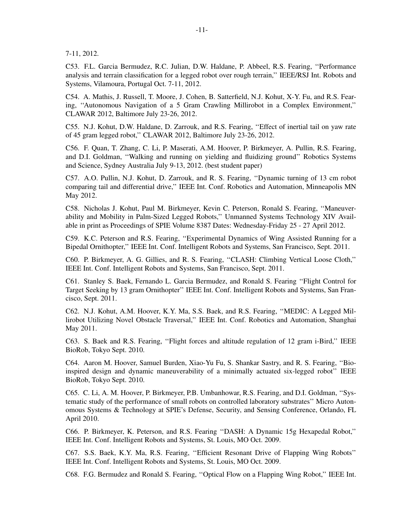7-11, 2012.

C53. F.L. Garcia Bermudez, R.C. Julian, D.W. Haldane, P. Abbeel, R.S. Fearing, ''Performance analysis and terrain classification for a legged robot over rough terrain,'' IEEE/RSJ Int. Robots and Systems, Vilamoura, Portugal Oct. 7-11, 2012.

C54. A. Mathis, J. Russell, T. Moore, J. Cohen, B. Satterfield, N.J. Kohut, X-Y. Fu, and R.S. Fearing, ''Autonomous Navigation of a 5 Gram Crawling Millirobot in a Complex Environment,'' CLAWAR 2012, Baltimore July 23-26, 2012.

C55. N.J. Kohut, D.W. Haldane, D. Zarrouk, and R.S. Fearing, ''Effect of inertial tail on yaw rate of 45 gram legged robot,'' CLAWAR 2012, Baltimore July 23-26, 2012.

C56. F. Quan, T. Zhang, C. Li, P. Maserati, A.M. Hoover, P. Birkmeyer, A. Pullin, R.S. Fearing, and D.I. Goldman, ''Walking and running on yielding and fluidizing ground'' Robotics Systems and Science, Sydney Australia July 9-13, 2012. (best student paper)

C57. A.O. Pullin, N.J. Kohut, D. Zarrouk, and R. S. Fearing, ''Dynamic turning of 13 cm robot comparing tail and differential drive,'' IEEE Int. Conf. Robotics and Automation, Minneapolis MN May 2012.

C58. Nicholas J. Kohut, Paul M. Birkmeyer, Kevin C. Peterson, Ronald S. Fearing, ''Maneuverability and Mobility in Palm-Sized Legged Robots,'' Unmanned Systems Technology XIV Available in print as Proceedings of SPIE Volume 8387 Dates: Wednesday-Friday 25 - 27 April 2012.

C59. K.C. Peterson and R.S. Fearing, ''Experimental Dynamics of Wing Assisted Running for a Bipedal Ornithopter,'' IEEE Int. Conf. Intelligent Robots and Systems, San Francisco, Sept. 2011.

C60. P. Birkmeyer, A. G. Gillies, and R. S. Fearing, ''CLASH: Climbing Vertical Loose Cloth,'' IEEE Int. Conf. Intelligent Robots and Systems, San Francisco, Sept. 2011.

C61. Stanley S. Baek, Fernando L. Garcia Bermudez, and Ronald S. Fearing ''Flight Control for Target Seeking by 13 gram Ornithopter'' IEEE Int. Conf. Intelligent Robots and Systems, San Francisco, Sept. 2011.

C62. N.J. Kohut, A.M. Hoover, K.Y. Ma, S.S. Baek, and R.S. Fearing, ''MEDIC: A Legged Millirobot Utilizing Novel Obstacle Traversal,'' IEEE Int. Conf. Robotics and Automation, Shanghai May 2011.

C63. S. Baek and R.S. Fearing, ''Flight forces and altitude regulation of 12 gram i-Bird,'' IEEE BioRob, Tokyo Sept. 2010.

C64. Aaron M. Hoover, Samuel Burden, Xiao-Yu Fu, S. Shankar Sastry, and R. S. Fearing, ''Bioinspired design and dynamic maneuverability of a minimally actuated six-legged robot'' IEEE BioRob, Tokyo Sept. 2010.

C65. C. Li, A. M. Hoover, P. Birkmeyer, P.B. Umbanhowar, R.S. Fearing, and D.I. Goldman, ''Systematic study of the performance of small robots on controlled laboratory substrates'' Micro Autonomous Systems & Technology at SPIE's Defense, Security, and Sensing Conference, Orlando, FL April 2010.

C66. P. Birkmeyer, K. Peterson, and R.S. Fearing ''DASH: A Dynamic 15g Hexapedal Robot,'' IEEE Int. Conf. Intelligent Robots and Systems, St. Louis, MO Oct. 2009.

C67. S.S. Baek, K.Y. Ma, R.S. Fearing, ''Efficient Resonant Drive of Flapping Wing Robots'' IEEE Int. Conf. Intelligent Robots and Systems, St. Louis, MO Oct. 2009.

C68. F.G. Bermudez and Ronald S. Fearing, ''Optical Flow on a Flapping Wing Robot,'' IEEE Int.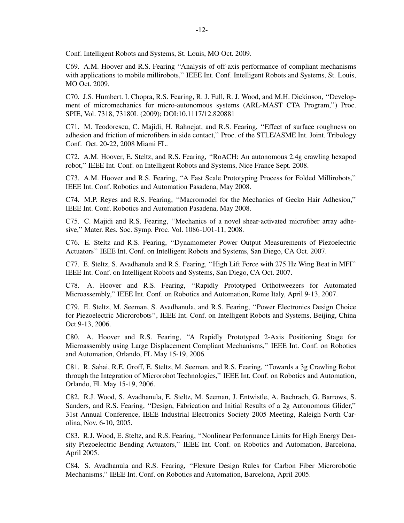Conf. Intelligent Robots and Systems, St. Louis, MO Oct. 2009.

C69. A.M. Hoover and R.S. Fearing ''Analysis of off-axis performance of compliant mechanisms with applications to mobile millirobots," IEEE Int. Conf. Intelligent Robots and Systems, St. Louis, MO Oct. 2009.

C70. J.S. Humbert. I. Chopra, R.S. Fearing, R. J. Full, R. J. Wood, and M.H. Dickinson, ''Development of micromechanics for micro-autonomous systems (ARL-MAST CTA Program,'') Proc. SPIE, Vol. 7318, 73180L (2009); DOI:10.1117/12.820881

C71. M. Teodorescu, C. Majidi, H. Rahnejat, and R.S. Fearing, ''Effect of surface roughness on adhesion and friction of microfibers in side contact,'' Proc. of the STLE/ASME Int. Joint. Tribology Conf. Oct. 20-22, 2008 Miami FL.

C72. A.M. Hoover, E. Steltz, and R.S. Fearing, ''RoACH: An autonomous 2.4g crawling hexapod robot,'' IEEE Int. Conf. on Intelligent Robots and Systems, Nice France Sept. 2008.

C73. A.M. Hoover and R.S. Fearing, ''A Fast Scale Prototyping Process for Folded Millirobots,'' IEEE Int. Conf. Robotics and Automation Pasadena, May 2008.

C74. M.P. Reyes and R.S. Fearing, ''Macromodel for the Mechanics of Gecko Hair Adhesion,'' IEEE Int. Conf. Robotics and Automation Pasadena, May 2008.

C75. C. Majidi and R.S. Fearing, ''Mechanics of a novel shear-activated microfiber array adhesive,'' Mater. Res. Soc. Symp. Proc. Vol. 1086-U01-11, 2008.

C76. E. Steltz and R.S. Fearing, ''Dynamometer Power Output Measurements of Piezoelectric Actuators'' IEEE Int. Conf. on Intelligent Robots and Systems, San Diego, CA Oct. 2007.

C77. E. Steltz, S. Avadhanula and R.S. Fearing, ''High Lift Force with 275 Hz Wing Beat in MFI'' IEEE Int. Conf. on Intelligent Robots and Systems, San Diego, CA Oct. 2007.

C78. A. Hoover and R.S. Fearing, ''Rapidly Prototyped Orthotweezers for Automated Microassembly,'' IEEE Int. Conf. on Robotics and Automation, Rome Italy, April 9-13, 2007.

C79. E. Steltz, M. Seeman, S. Avadhanula, and R.S. Fearing, ''Power Electronics Design Choice for Piezoelectric Microrobots'', IEEE Int. Conf. on Intelligent Robots and Systems, Beijing, China Oct.9-13, 2006.

C80. A. Hoover and R.S. Fearing, ''A Rapidly Prototyped 2-Axis Positioning Stage for Microassembly using Large Displacement Compliant Mechanisms,'' IEEE Int. Conf. on Robotics and Automation, Orlando, FL May 15-19, 2006.

C81. R. Sahai, R.E. Groff, E. Steltz, M. Seeman, and R.S. Fearing, "Towards a 3g Crawling Robot through the Integration of Microrobot Technologies,'' IEEE Int. Conf. on Robotics and Automation, Orlando, FL May 15-19, 2006.

C82. R.J. Wood, S. Avadhanula, E. Steltz, M. Seeman, J. Entwistle, A. Bachrach, G. Barrows, S. Sanders, and R.S. Fearing, ''Design, Fabrication and Initial Results of a 2g Autonomous Glider,'' 31st Annual Conference, IEEE Industrial Electronics Society 2005 Meeting, Raleigh North Carolina, Nov. 6-10, 2005.

C83. R.J. Wood, E. Steltz, and R.S. Fearing, ''Nonlinear Performance Limits for High Energy Density Piezoelectric Bending Actuators,'' IEEE Int. Conf. on Robotics and Automation, Barcelona, April 2005.

C84. S. Avadhanula and R.S. Fearing, "Flexure Design Rules for Carbon Fiber Microrobotic Mechanisms,'' IEEE Int. Conf. on Robotics and Automation, Barcelona, April 2005.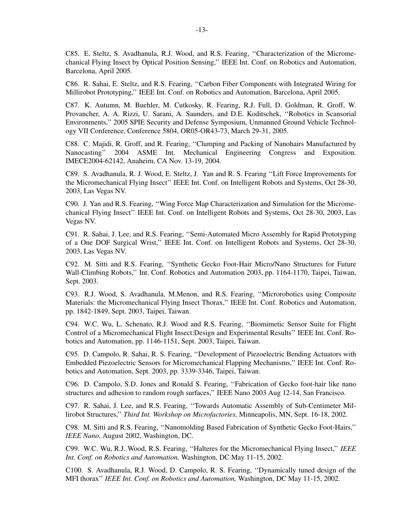C85. E. Steltz, S. Avadhanula, R.J. Wood, and R.S. Fearing, ''Characterization of the Micromechanical Flying Insect by Optical Position Sensing,'' IEEE Int. Conf. on Robotics and Automation, Barcelona, April 2005.

C86. R. Sahai, E. Steltz, and R.S. Fearing, ''Carbon Fiber Components with Integrated Wiring for Millirobot Prototyping,'' IEEE Int. Conf. on Robotics and Automation, Barcelona, April 2005.

C87. K. Autumn, M. Buehler, M. Cutkosky, R. Fearing, R.J. Full, D. Goldman, R. Groff, W. Provancher, A. A. Rizzi, U. Sarani, A. Saunders, and D.E. Koditschek, ''Robotics in Scansorial Environments,'' 2005 SPIE Security and Defense Symposium, Unmanned Ground Vehicle Technology VII Conference, Conference 5804, OR05-OR43-73, March 29-31, 2005.

C88. C. Majidi, R. Groff, and R. Fearing, ''Clumping and Packing of Nanohairs Manufactured by Nanocasting'' 2004 ASME Int. Mechanical Engineering Congress and Exposition. IMECE2004-62142, Anaheim, CA Nov. 13-19, 2004.

C89. S. Avadhanula, R. J. Wood, E. Steltz, J. Yan and R. S. Fearing "Lift Force Improvements for the Micromechanical Flying Insect'' IEEE Int. Conf. on Intelligent Robots and Systems, Oct 28-30, 2003, Las Vegas NV.

C90. J. Yan and R.S. Fearing, ''Wing Force Map Characterization and Simulation for the Micromechanical Flying Insect'' IEEE Int. Conf. on Intelligent Robots and Systems, Oct 28-30, 2003, Las Vegas NV.

C91. R. Sahai, J. Lee, and R.S. Fearing, ''Semi-Automated Micro Assembly for Rapid Prototyping of a One DOF Surgical Wrist,'' IEEE Int. Conf. on Intelligent Robots and Systems, Oct 28-30, 2003, Las Vegas NV.

C92. M. Sitti and R.S. Fearing, ''Synthetic Gecko Foot-Hair Micro/Nano Structures for Future Wall-Climbing Robots,'' Int. Conf. Robotics and Automation 2003, pp. 1164-1170, Taipei, Taiwan, Sept. 2003.

C93. R.J. Wood, S. Avadhanula, M.Menon, and R.S. Fearing, ''Microrobotics using Composite Materials: the Micromechanical Flying Insect Thorax,'' IEEE Int. Conf. Robotics and Automation, pp. 1842-1849, Sept. 2003, Taipei, Taiwan.

C94. W.C. Wu, L. Schenato, R.J. Wood and R.S. Fearing, ''Biomimetic Sensor Suite for Flight Control of a Micromechanical Flight Insect:Design and Experimental Results'' IEEE Int. Conf. Robotics and Automation, pp. 1146-1151, Sept. 2003, Taipei, Taiwan.

C95. D. Campolo, R. Sahai, R. S. Fearing, ''Development of Piezoelectric Bending Actuators with Embedded Piezoelectric Sensors for Micromechanical Flapping Mechanisms,'' IEEE Int. Conf. Robotics and Automation, Sept. 2003, pp. 3339-3346, Taipei, Taiwan.

C96. D. Campolo, S.D. Jones and Ronald S. Fearing, ''Fabrication of Gecko foot-hair like nano structures and adhesion to random rough surfaces,'' IEEE Nano 2003 Aug 12-14, San Francisco.

C97. R. Sahai, J. Lee, and R.S. Fearing, ''Tow ards Automatic Assembly of Sub-Centimeter Millirobot Structures,'' *Third Int. Workshop on Microfactories,* Minneapolis, MN, Sept. 16-18, 2002.

C98. M. Sitti and R.S. Fearing, ''Nanomolding Based Fabrication of Synthetic Gecko Foot-Hairs,'' *IEEE Nano*, August 2002, Washington, DC.

C99. W.C. Wu, R.J. Wood, R.S. Fearing, ''Halteres for the Micromechanical Flying Insect,'' *IEEE Int. Conf. on Robotics and Automation,* Washington, DC May 11-15, 2002.

C100. S. Av adhanula, R.J. Wood, D. Campolo, R. S. Fearing, ''Dynamically tuned design of the MFI thorax'' *IEEE Int. Conf. on Robotics and Automation,* Washington, DC May 11-15, 2002.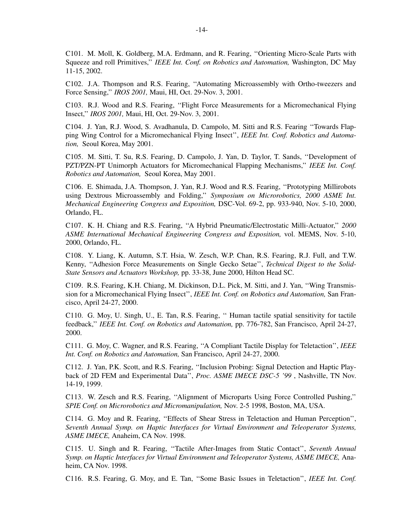C101. M. Moll, K. Goldberg, M.A. Erdmann, and R. Fearing, ''Orienting Micro-Scale Parts with Squeeze and roll Primitives,'' *IEEE Int. Conf. on Robotics and Automation,* Washington, DC May 11-15, 2002.

C102. J.A. Thompson and R.S. Fearing, ''Automating Microassembly with Ortho-tweezers and Force Sensing,'' *IROS 2001,* Maui, HI, Oct. 29-Nov. 3, 2001.

C103. R.J. Wood and R.S. Fearing, ''Flight Force Measurements for a Micromechanical Flying Insect,'' *IROS 2001,* Maui, HI, Oct. 29-Nov. 3, 2001.

C104. J. Yan, R.J. Wood, S. Avadhanula, D. Campolo, M. Sitti and R.S. Fearing "Towards Flapping Wing Control for a Micromechanical Flying Insect'', *IEEE Int. Conf. Robotics and Automation,* Seoul Korea, May 2001.

C105. M. Sitti, T. Su, R.S. Fearing, D. Campolo, J. Yan, D. Taylor, T. Sands, ''Development of PZT/PZN-PT Unimorph Actuators for Micromechanical Flapping Mechanisms,'' *IEEE Int. Conf. Robotics and Automation,* Seoul Korea, May 2001.

C106. E. Shimada, J.A. Thompson, J. Yan, R.J. Wood and R.S. Fearing, ''Prototyping Millirobots using Dextrous Microassembly and Folding,'' *Symposium on Microrobotics, 2000 ASME Int. Mechanical Engineering Congress and Exposition,* DSC-Vol. 69-2, pp. 933-940, Nov. 5-10, 2000, Orlando, FL.

C107. K. H. Chiang and R.S. Fearing, ''A Hybrid Pneumatic/Electrostatic Milli-Actuator,'' *2000 ASME International Mechanical Engineering Congress and Exposition,* vol. MEMS, Nov. 5-10, 2000, Orlando, FL.

C108. Y. Liang, K. Autumn, S.T. Hsia, W. Zesch, W.P. Chan, R.S. Fearing, R.J. Full, and T.W. Kenny, ''Adhesion Force Measurements on Single Gecko Setae'', *Technical Digest to the Solid-State Sensors and Actuators Workshop,* pp. 33-38, June 2000, Hilton Head SC.

C109. R.S. Fearing, K.H. Chiang, M. Dickinson, D.L. Pick, M. Sitti, and J. Yan, ''Wing Transmission for a Micromechanical Flying Insect'', *IEEE Int. Conf. on Robotics and Automation,* San Francisco, April 24-27, 2000.

C110. G. Moy, U. Singh, U., E. Tan, R.S. Fearing, '' Human tactile spatial sensitivity for tactile feedback,'' *IEEE Int. Conf. on Robotics and Automation,* pp. 776-782, San Francisco, April 24-27, 2000.

C111. G. Moy, C. Wagner, and R.S. Fearing, ''A Compliant Tactile Display for Teletaction'', *IEEE Int. Conf. on Robotics and Automation,* San Francisco, April 24-27, 2000.

C112. J. Yan, P.K. Scott, and R.S. Fearing, ''Inclusion Probing: Signal Detection and Haptic Playback of 2D FEM and Experimental Data'', *Proc. ASME IMECE DSC-5 '99* , Nashville, TN Nov. 14-19, 1999.

C113. W. Zesch and R.S. Fearing, ''Alignment of Microparts Using Force Controlled Pushing,'' *SPIE Conf. on Microrobotics and Micromanipulation,* Nov. 2-5 1998, Boston, MA, USA.

C114. G. Moy and R. Fearing, ''Effects of Shear Stress in Teletaction and Human Perception'', *Seventh Annual Symp. on Haptic Interfaces for Virtual Environment and Teleoperator Systems, ASME IMECE,* Anaheim, CA Nov. 1998.

C115. U. Singh and R. Fearing, ''Tactile After-Images from Static Contact'', *Seventh Annual Symp. on Haptic Interfaces for Virtual Environment and Teleoperator Systems, ASME IMECE,* Anaheim, CA Nov. 1998.

C116. R.S. Fearing, G. Moy, and E. Tan, ''Some Basic Issues in Teletaction'', *IEEE Int. Conf.*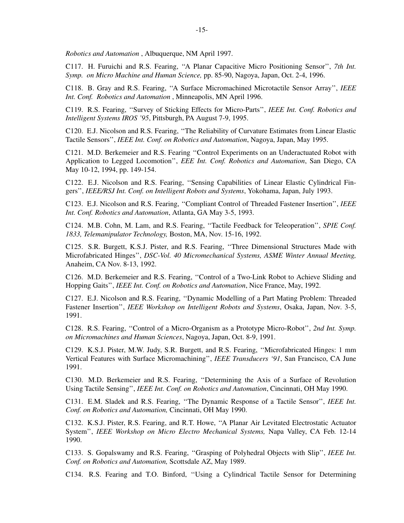*Robotics and Automation* , Albuquerque, NM April 1997.

C117. H. Furuichi and R.S. Fearing, ''A Planar Capacitive Micro Positioning Sensor'', *7th Int. Symp. on Micro Machine and Human Science,* pp. 85-90, Nagoya, Japan, Oct. 2-4, 1996.

C118. B. Gray and R.S. Fearing, ''A Surface Micromachined Microtactile Sensor Array'', *IEEE Int. Conf. Robotics and Automation* , Minneapolis, MN April 1996.

C119. R.S. Fearing, ''Survey of Sticking Effects for Micro-Parts'', *IEEE Int. Conf. Robotics and Intelligent Systems IROS '95*, Pittsburgh, PA August 7-9, 1995.

C120. E.J. Nicolson and R.S. Fearing, ''The Reliability of Curvature Estimates from Linear Elastic Tactile Sensors'', *IEEE Int. Conf. on Robotics and Automation*, Nagoya, Japan, May 1995.

C121. M.D. Berkemeier and R.S. Fearing ''Control Experiments on an Underactuated Robot with Application to Legged Locomotion'', *EEE Int. Conf. Robotics and Automation*, San Diego, CA May 10-12, 1994, pp. 149-154.

C122. E.J. Nicolson and R.S. Fearing, ''Sensing Capabilities of Linear Elastic Cylindrical Fingers'', *IEEE/RSJ Int. Conf. on Intelligent Robots and Systems*, Yokohama, Japan, July 1993.

C123. E.J. Nicolson and R.S. Fearing, ''Compliant Control of Threaded Fastener Insertion'', *IEEE Int. Conf. Robotics and Automation*, Atlanta, GA May 3-5, 1993.

C124. M.B. Cohn, M. Lam, and R.S. Fearing, ''Tactile Feedback for Teleoperation'', *SPIE Conf. 1833, Telemanipulator Technology,* Boston, MA, Nov. 15-16, 1992.

C125. S.R. Burgett, K.S.J. Pister, and R.S. Fearing, ''Three Dimensional Structures Made with Microfabricated Hinges'', *DSC-Vol. 40 Micromechanical Systems, ASME Winter Annual Meeting,* Anaheim, CA Nov. 8-13, 1992.

C126. M.D. Berkemeier and R.S. Fearing, ''Control of a Two-Link Robot to Achieve Sliding and Hopping Gaits'', *IEEE Int. Conf. on Robotics and Automation*, Nice France, May, 1992.

C127. E.J. Nicolson and R.S. Fearing, ''Dynamic Modelling of a Part Mating Problem: Threaded Fastener Insertion'', *IEEE Workshop on Intelligent Robots and Systems*, Osaka, Japan, Nov. 3-5, 1991.

C128. R.S. Fearing, ''Control of a Micro-Organism as a Prototype Micro-Robot'', *2nd Int. Symp. on Micromachines and Human Sciences*, Nagoya, Japan, Oct. 8-9, 1991.

C129. K.S.J. Pister, M.W. Judy, S.R. Burgett, and R.S. Fearing, ''Microfabricated Hinges: 1 mm Vertical Features with Surface Micromachining'', *IEEE Transducers '91*, San Francisco, CA June 1991.

C130. M.D. Berkemeier and R.S. Fearing, ''Determining the Axis of a Surface of Revolution Using Tactile Sensing'', *IEEE Int. Conf. on Robotics and Automation*, Cincinnati, OH May 1990.

C131. E.M. Sladek and R.S. Fearing, ''The Dynamic Response of a Tactile Sensor'', *IEEE Int. Conf. on Robotics and Automation,* Cincinnati, OH May 1990.

C132. K.S.J. Pister, R.S. Fearing, and R.T. Howe, ''A Planar Air Levitated Electrostatic Actuator System'', *IEEE Workshop on Micro Electro Mechanical Systems,* Napa Valley, CA Feb. 12-14 1990.

C133. S. Gopalswamy and R.S. Fearing, ''Grasping of Polyhedral Objects with Slip'', *IEEE Int. Conf. on Robotics and Automation,* Scottsdale AZ, May 1989.

C134. R.S. Fearing and T.O. Binford, ''Using a Cylindrical Tactile Sensor for Determining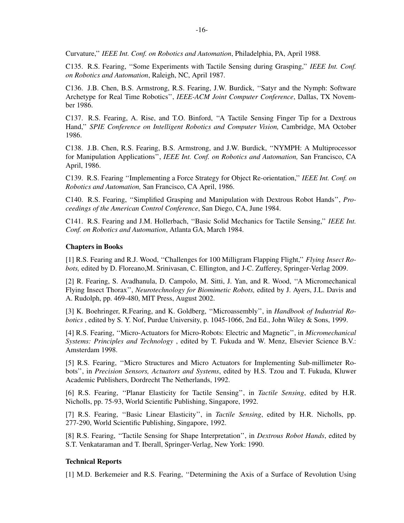Curvature,'' *IEEE Int. Conf. on Robotics and Automation*, Philadelphia, PA, April 1988.

C135. R.S. Fearing, ''Some Experiments with Tactile Sensing during Grasping,'' *IEEE Int. Conf. on Robotics and Automation*, Raleigh, NC, April 1987.

C136. J.B. Chen, B.S. Armstrong, R.S. Fearing, J.W. Burdick, ''Satyr and the Nymph: Software Archetype for Real Time Robotics'', *IEEE-ACM Joint Computer Conference*, Dallas, TX November 1986.

C137. R.S. Fearing, A. Rise, and T.O. Binford, ''A Tactile Sensing Finger Tip for a Dextrous Hand,'' *SPIE Conference on Intelligent Robotics and Computer Vision,* Cambridge, MA October 1986.

C138. J.B. Chen, R.S. Fearing, B.S. Armstrong, and J.W. Burdick, ''NYMPH: A Multiprocessor for Manipulation Applications'', *IEEE Int. Conf. on Robotics and Automation,* San Francisco, CA April, 1986.

C139. R.S. Fearing ''Implementing a Force Strategy for Object Re-orientation,'' *IEEE Int. Conf. on Robotics and Automation,* San Francisco, CA April, 1986.

C140. R.S. Fearing, ''Simplified Grasping and Manipulation with Dextrous Robot Hands'', *Proceedings of the American Control Conference*, San Diego, CA, June 1984.

C141. R.S. Fearing and J.M. Hollerbach, ''Basic Solid Mechanics for Tactile Sensing,'' *IEEE Int. Conf. on Robotics and Automation*, Atlanta GA, March 1984.

### **Chapters in Books**

[1] R.S. Fearing and R.J. Wood, ''Challenges for 100 Milligram Flapping Flight,'' *Flying Insect Robots,* edited by D. Floreano,M. Srinivasan, C. Ellington, and J-C. Zufferey, Springer-Verlag 2009.

[2] R. Fearing, S. Avadhanula, D. Campolo, M. Sitti, J. Yan, and R. Wood, ''A Micromechanical Flying Insect Thorax'', *Neurotechnology for Biomimetic Robots,* edited by J. Ayers, J.L. Davis and A. Rudolph, pp. 469-480, MIT Press, August 2002.

[3] K. Boehringer, R.Fearing, and K. Goldberg, ''Microassembly'', in *Handbook of Industrial Robotics*, edited by S. Y. Nof, Purdue University, p. 1045-1066, 2nd Ed., John Wiley & Sons, 1999.

[4] R.S. Fearing, ''Micro-Actuators for Micro-Robots: Electric and Magnetic'', in *Micromechanical Systems: Principles and Technology* , edited by T. Fukuda and W. Menz, Elsevier Science B.V.: Amsterdam 1998.

[5] R.S. Fearing, ''Micro Structures and Micro Actuators for Implementing Sub-millimeter Robots'', in *Precision Sensors, Actuators and Systems*, edited by H.S. Tzou and T. Fukuda, Kluwer Academic Publishers, Dordrecht The Netherlands, 1992.

[6] R.S. Fearing, ''Planar Elasticity for Tactile Sensing'', in *Tactile Sensing*, edited by H.R. Nicholls, pp. 75-93, World Scientific Publishing, Singapore, 1992.

[7] R.S. Fearing, ''Basic Linear Elasticity'', in *Tactile Sensing*, edited by H.R. Nicholls, pp. 277-290, World Scientific Publishing, Singapore, 1992.

[8] R.S. Fearing, ''Tactile Sensing for Shape Interpretation'', in *Dextrous Robot Hands*, edited by S.T. Venkataraman and T. Iberall, Springer-Verlag, New York: 1990.

### **Technical Reports**

[1] M.D. Berkemeier and R.S. Fearing, ''Determining the Axis of a Surface of Revolution Using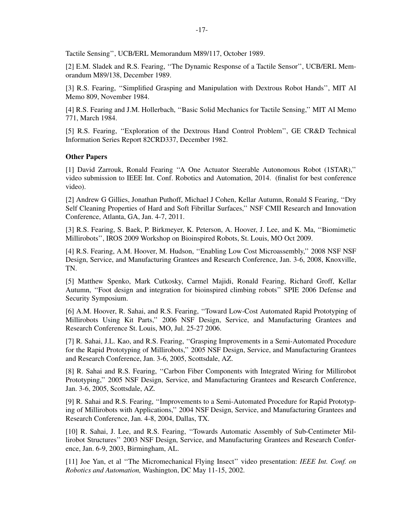Tactile Sensing'', UCB/ERL Memorandum M89/117, October 1989.

[2] E.M. Sladek and R.S. Fearing, ''The Dynamic Response of a Tactile Sensor'', UCB/ERL Memorandum M89/138, December 1989.

[3] R.S. Fearing, "Simplified Grasping and Manipulation with Dextrous Robot Hands", MIT AI Memo 809, November 1984.

[4] R.S. Fearing and J.M. Hollerbach, ''Basic Solid Mechanics for Tactile Sensing,'' MIT AI Memo 771, March 1984.

[5] R.S. Fearing, "Exploration of the Dextrous Hand Control Problem", GE CR&D Technical Information Series Report 82CRD337, December 1982.

# **Other Papers**

[1] David Zarrouk, Ronald Fearing ''A One Actuator Steerable Autonomous Robot (1STAR),'' video submission to IEEE Int. Conf. Robotics and Automation, 2014. (finalist for best conference video).

[2] Andrew G Gillies, Jonathan Puthoff, Michael J Cohen, Kellar Autumn, Ronald S Fearing, "Dry Self Cleaning Properties of Hard and Soft Fibrillar Surfaces,'' NSF CMII Research and Innovation Conference, Atlanta, GA, Jan. 4-7, 2011.

[3] R.S. Fearing, S. Baek, P. Birkmeyer, K. Peterson, A. Hoover, J. Lee, and K. Ma, ''Biomimetic Millirobots'', IROS 2009 Workshop on Bioinspired Robots, St. Louis, MO Oct 2009.

[4] R.S. Fearing, A.M. Hoover, M. Hudson, ''Enabling Low Cost Microassembly,'' 2008 NSF NSF Design, Service, and Manufacturing Grantees and Research Conference, Jan. 3-6, 2008, Knoxville, TN.

[5] Matthew Spenko, Mark Cutkosky, Carmel Majidi, Ronald Fearing, Richard Groff, Kellar Autumn, ''Foot design and integration for bioinspired climbing robots'' SPIE 2006 Defense and Security Symposium.

[6] A.M. Hoover, R. Sahai, and R.S. Fearing, "Toward Low-Cost Automated Rapid Prototyping of Millirobots Using Kit Parts,'' 2006 NSF Design, Service, and Manufacturing Grantees and Research Conference St. Louis, MO, Jul. 25-27 2006.

[7] R. Sahai, J.L. Kao, and R.S. Fearing, ''Grasping Improvements in a Semi-Automated Procedure for the Rapid Prototyping of Millirobots,'' 2005 NSF Design, Service, and Manufacturing Grantees and Research Conference, Jan. 3-6, 2005, Scottsdale, AZ.

[8] R. Sahai and R.S. Fearing, "Carbon Fiber Components with Integrated Wiring for Millirobot Prototyping,'' 2005 NSF Design, Service, and Manufacturing Grantees and Research Conference, Jan. 3-6, 2005, Scottsdale, AZ.

[9] R. Sahai and R.S. Fearing, ''Improvements to a Semi-Automated Procedure for Rapid Prototyping of Millirobots with Applications,'' 2004 NSF Design, Service, and Manufacturing Grantees and Research Conference, Jan. 4-8, 2004, Dallas, TX.

[10] R. Sahai, J. Lee, and R.S. Fearing, ''Tow ards Automatic Assembly of Sub-Centimeter Millirobot Structures'' 2003 NSF Design, Service, and Manufacturing Grantees and Research Conference, Jan. 6-9, 2003, Birmingham, AL.

[11] Joe Yan, et al ''The Micromechanical Flying Insect'' video presentation: *IEEE Int. Conf. on Robotics and Automation,* Washington, DC May 11-15, 2002.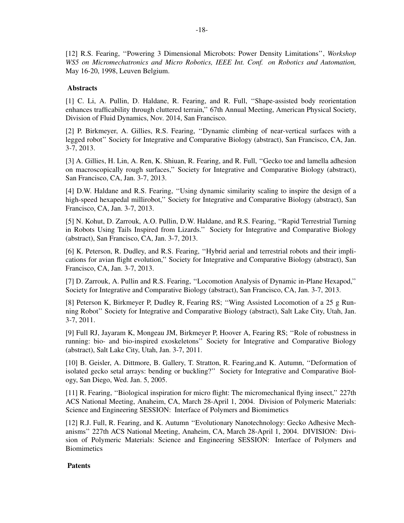[12] R.S. Fearing, ''Powering 3 Dimensional Microbots: Power Density Limitations'', *Workshop WS5 on Micromechatronics and Micro Robotics, IEEE Int. Conf. on Robotics and Automation,* May 16-20, 1998, Leuven Belgium.

# **Abstracts**

[1] C. Li, A. Pullin, D. Haldane, R. Fearing, and R. Full, ''Shape-assisted body reorientation enhances trafficability through cluttered terrain,'' 67th Annual Meeting, American Physical Society, Division of Fluid Dynamics, Nov. 2014, San Francisco.

[2] P. Birkmeyer, A. Gillies, R.S. Fearing, ''Dynamic climbing of near-vertical surfaces with a legged robot'' Society for Integrative and Comparative Biology (abstract), San Francisco, CA, Jan. 3-7, 2013.

[3] A. Gillies, H. Lin, A. Ren, K. Shiuan, R. Fearing, and R. Full, ''Gecko toe and lamella adhesion on macroscopically rough surfaces,'' Society for Integrative and Comparative Biology (abstract), San Francisco, CA, Jan. 3-7, 2013.

[4] D.W. Haldane and R.S. Fearing, ''Using dynamic similarity scaling to inspire the design of a high-speed hexapedal millirobot," Society for Integrative and Comparative Biology (abstract), San Francisco, CA, Jan. 3-7, 2013.

[5] N. Kohut, D. Zarrouk, A.O. Pullin, D.W. Haldane, and R.S. Fearing, ''Rapid Terrestrial Turning in Robots Using Tails Inspired from Lizards.'' Society for Integrative and Comparative Biology (abstract), San Francisco, CA, Jan. 3-7, 2013.

[6] K. Peterson, R. Dudley, and R.S. Fearing, ''Hybrid aerial and terrestrial robots and their implications for avian flight evolution,'' Society for Integrative and Comparative Biology (abstract), San Francisco, CA, Jan. 3-7, 2013.

[7] D. Zarrouk, A. Pullin and R.S. Fearing, ''Locomotion Analysis of Dynamic in-Plane Hexapod,'' Society for Integrative and Comparative Biology (abstract), San Francisco, CA, Jan. 3-7, 2013.

[8] Peterson K, Birkmeyer P, Dudley R, Fearing RS; ''Wing Assisted Locomotion of a 25 g Running Robot'' Society for Integrative and Comparative Biology (abstract), Salt Lake City, Utah, Jan. 3-7, 2011.

[9] Full RJ, Jayaram K, Mongeau JM, Birkmeyer P, Hoover A, Fearing RS; ''Role of robustness in running: bio- and bio-inspired exoskeletons'' Society for Integrative and Comparative Biology (abstract), Salt Lake City, Utah, Jan. 3-7, 2011.

[10] B. Geisler, A. Dittmore, B. Gallery, T. Stratton, R. Fearing,and K. Autumn, ''Deformation of isolated gecko setal arrays: bending or buckling?'' Society for Integrative and Comparative Biology, San Diego, Wed. Jan. 5, 2005.

[11] R. Fearing, ''Biological inspiration for micro flight: The micromechanical flying insect,'' 227th ACS National Meeting, Anaheim, CA, March 28-April 1, 2004. Division of Polymeric Materials: Science and Engineering SESSION: Interface of Polymers and Biomimetics

[12] R.J. Full, R. Fearing, and K. Autumn ''Evolutionary Nanotechnology: Gecko Adhesive Mechanisms'' 227th ACS National Meeting, Anaheim, CA, March 28-April 1, 2004. DIVISION: Division of Polymeric Materials: Science and Engineering SESSION: Interface of Polymers and **Biomimetics** 

# **Patents**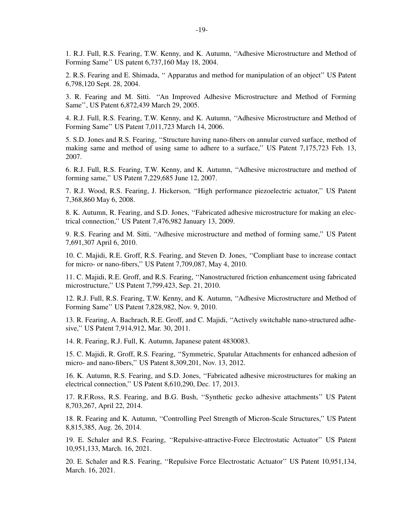1. R.J. Full, R.S. Fearing, T.W. Kenny, and K. Autumn, ''Adhesive Microstructure and Method of Forming Same'' US patent 6,737,160 May 18, 2004.

2. R.S. Fearing and E. Shimada, '' Apparatus and method for manipulation of an object'' US Patent 6,798,120 Sept. 28, 2004.

3. R. Fearing and M. Sitti. ''An Improved Adhesive Microstructure and Method of Forming Same'', US Patent 6,872,439 March 29, 2005.

4. R.J. Full, R.S. Fearing, T.W. Kenny, and K. Autumn, ''Adhesive Microstructure and Method of Forming Same'' US Patent 7,011,723 March 14, 2006.

5. S.D. Jones and R.S. Fearing, ''Structure having nano-fibers on annular curved surface, method of making same and method of using same to adhere to a surface,'' US Patent 7,175,723 Feb. 13, 2007.

6. R.J. Full, R.S. Fearing, T.W. Kenny, and K. Autumn, ''Adhesive microstructure and method of forming same,'' US Patent 7,229,685 June 12, 2007.

7. R.J. Wood, R.S. Fearing, J. Hickerson, ''High performance piezoelectric actuator,'' US Patent 7,368,860 May 6, 2008.

8. K. Autumn, R. Fearing, and S.D. Jones, ''Fabricated adhesive microstructure for making an electrical connection,'' US Patent 7,476,982 January 13, 2009.

9. R.S. Fearing and M. Sitti, ''Adhesive microstructure and method of forming same,'' US Patent 7,691,307 April 6, 2010.

10. C. Majidi, R.E. Groff, R.S. Fearing, and Steven D. Jones, ''Compliant base to increase contact for micro- or nano-fibers,'' US Patent 7,709,087, May 4, 2010.

11. C. Majidi, R.E. Groff, and R.S. Fearing, ''Nanostructured friction enhancement using fabricated microstructure,'' US Patent 7,799,423, Sep. 21, 2010.

12. R.J. Full, R.S. Fearing, T.W. Kenny, and K. Autumn, ''Adhesive Microstructure and Method of Forming Same'' US Patent 7,828,982, Nov. 9, 2010.

13. R. Fearing, A. Bachrach, R.E. Groff, and C. Majidi, ''Actively switchable nano-structured adhesive,'' US Patent 7,914,912, Mar. 30, 2011.

14. R. Fearing, R.J. Full, K. Autumn, Japanese patent 4830083.

15. C. Majidi, R. Groff, R.S. Fearing, ''Symmetric, Spatular Attachments for enhanced adhesion of micro- and nano-fibers,'' US Patent 8,309,201, Nov. 13, 2012.

16. K. Autumn, R.S. Fearing, and S.D. Jones, ''Fabricated adhesive microstructures for making an electrical connection,'' US Patent 8,610,290, Dec. 17, 2013.

17. R.F.Ross, R.S. Fearing, and B.G. Bush, ''Synthetic gecko adhesive attachments'' US Patent 8,703,267, April 22, 2014.

18. R. Fearing and K. Autumn, ''Controlling Peel Strength of Micron-Scale Structures,'' US Patent 8,815,385, Aug. 26, 2014.

19. E. Schaler and R.S. Fearing, ''Repulsive-attractive-Force Electrostatic Actuator'' US Patent 10,951,133, March. 16, 2021.

20. E. Schaler and R.S. Fearing, ''Repulsive Force Electrostatic Actuator'' US Patent 10,951,134, March. 16, 2021.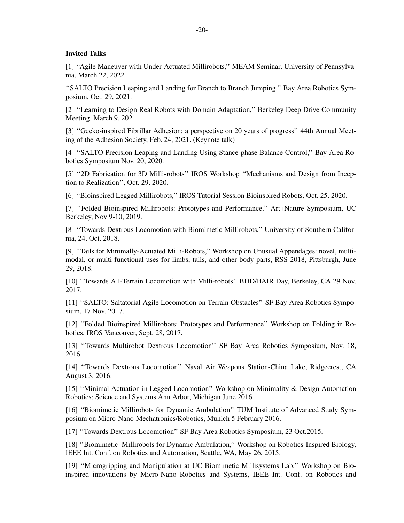# **Invited Talks**

[1] ''Agile Maneuver with Under-Actuated Millirobots,'' MEAM Seminar, University of Pennsylvania, March 22, 2022.

''SALTO Precision Leaping and Landing for Branch to Branch Jumping,'' Bay Area Robotics Symposium, Oct. 29, 2021.

[2] ''Learning to Design Real Robots with Domain Adaptation,'' Berkeley Deep Drive Community Meeting, March 9, 2021.

[3] ''Gecko-inspired Fibrillar Adhesion: a perspective on 20 years of progress'' 44th Annual Meeting of the Adhesion Society, Feb. 24, 2021. (Keynote talk)

[4] ''SALTO Precision Leaping and Landing Using Stance-phase Balance Control,'' Bay Area Robotics Symposium Nov. 20, 2020.

[5] ''2D Fabrication for 3D Milli-robots'' IROS Workshop ''Mechanisms and Design from Inception to Realization'', Oct. 29, 2020.

[6] ''Bioinspired Legged Millirobots,'' IROS Tutorial Session Bioinspired Robots, Oct. 25, 2020.

[7] ''Folded Bioinspired Millirobots: Prototypes and Performance,'' Art+Nature Symposium, UC Berkeley, Nov 9-10, 2019.

[8] "Towards Dextrous Locomotion with Biomimetic Millirobots," University of Southern California, 24, Oct. 2018.

[9] ''Tails for Minimally-Actuated Milli-Robots,'' Workshop on Unusual Appendages: novel, multimodal, or multi-functional uses for limbs, tails, and other body parts, RSS 2018, Pittsburgh, June 29, 2018.

[10] ''Tow ards All-Terrain Locomotion with Milli-robots'' BDD/BAIR Day, Berkeley, CA 29 Nov. 2017.

[11] ''SALTO: Saltatorial Agile Locomotion on Terrain Obstacles'' SF Bay Area Robotics Symposium, 17 Nov. 2017.

[12] "Folded Bioinspired Millirobots: Prototypes and Performance" Workshop on Folding in Robotics, IROS Vancouver, Sept. 28, 2017.

[13] "Towards Multirobot Dextrous Locomotion" SF Bay Area Robotics Symposium, Nov. 18, 2016.

[14] "Towards Dextrous Locomotion" Naval Air Weapons Station-China Lake, Ridgecrest, CA August 3, 2016.

[15] ''Minimal Actuation in Legged Locomotion'' Workshop on Minimality & Design Automation Robotics: Science and Systems Ann Arbor, Michigan June 2016.

[16] ''Biomimetic Millirobots for Dynamic Ambulation'' TUM Institute of Advanced Study Symposium on Micro-Nano-Mechatronics/Robotics, Munich 5 February 2016.

[17] ''Tow ards Dextrous Locomotion'' SF Bay Area Robotics Symposium, 23 Oct.2015.

[18] ''Biomimetic Millirobots for Dynamic Ambulation,'' Workshop on Robotics-Inspired Biology, IEEE Int. Conf. on Robotics and Automation, Seattle, WA, May 26, 2015.

[19] ''Microgripping and Manipulation at UC Biomimetic Millisystems Lab,'' Workshop on Bioinspired innovations by Micro-Nano Robotics and Systems, IEEE Int. Conf. on Robotics and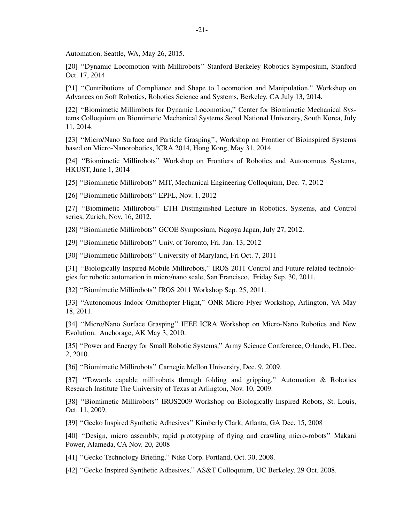Automation, Seattle, WA, May 26, 2015.

[20] ''Dynamic Locomotion with Millirobots'' Stanford-Berkeley Robotics Symposium, Stanford Oct. 17, 2014

[21] ''Contributions of Compliance and Shape to Locomotion and Manipulation,'' Workshop on Advances on Soft Robotics, Robotics Science and Systems, Berkeley, CA July 13, 2014.

[22] ''Biomimetic Millirobots for Dynamic Locomotion,'' Center for Biomimetic Mechanical Systems Colloquium on Biomimetic Mechanical Systems Seoul National University, South Korea, July 11, 2014.

[23] ''Micro/Nano Surface and Particle Grasping'', Workshop on Frontier of Bioinspired Systems based on Micro-Nanorobotics, ICRA 2014, Hong Kong, May 31, 2014.

[24] ''Biomimetic Millirobots'' Workshop on Frontiers of Robotics and Autonomous Systems, HKUST, June 1, 2014

[25] ''Biomimetic Millirobots'' MIT, Mechanical Engineering Colloquium, Dec. 7, 2012

[26] "Biomimetic Millirobots" EPFL, Nov. 1, 2012

[27] ''Biomimetic Millirobots'' ETH Distinguished Lecture in Robotics, Systems, and Control series, Zurich, Nov. 16, 2012.

[28] ''Biomimetic Millirobots'' GCOE Symposium, Nagoya Japan, July 27, 2012.

[29] ''Biomimetic Millirobots'' Univ. of Toronto, Fri. Jan. 13, 2012

[30] ''Biomimetic Millirobots'' University of Maryland, Fri Oct. 7, 2011

[31] "Biologically Inspired Mobile Millirobots," IROS 2011 Control and Future related technologies for robotic automation in micro/nano scale, San Francisco, Friday Sep. 30, 2011.

[32] ''Biomimetic Millirobots'' IROS 2011 Workshop Sep. 25, 2011.

[33] ''Autonomous Indoor Ornithopter Flight,'' ONR Micro Flyer Workshop, Arlington, VA May 18, 2011.

[34] ''Micro/Nano Surface Grasping'' IEEE ICRA Workshop on Micro-Nano Robotics and New Evolution. Anchorage, AK May 3, 2010.

[35] "Power and Energy for Small Robotic Systems," Army Science Conference, Orlando, FL Dec. 2, 2010.

[36] "Biomimetic Millirobots" Carnegie Mellon University, Dec. 9, 2009.

[37] "Towards capable millirobots through folding and gripping," Automation & Robotics Research Institute The University of Texas at Arlington, Nov. 10, 2009.

[38] ''Biomimetic Millirobots'' IROS2009 Workshop on Biologically-Inspired Robots, St. Louis, Oct. 11, 2009.

[39] ''Gecko Inspired Synthetic Adhesives'' Kimberly Clark, Atlanta, GA Dec. 15, 2008

[40] ''Design, micro assembly, rapid prototyping of flying and crawling micro-robots'' Makani Power, Alameda, CA Nov. 20, 2008

[41] "Gecko Technology Briefing," Nike Corp. Portland, Oct. 30, 2008.

[42] ''Gecko Inspired Synthetic Adhesives,'' AS&T Colloquium, UC Berkeley, 29 Oct. 2008.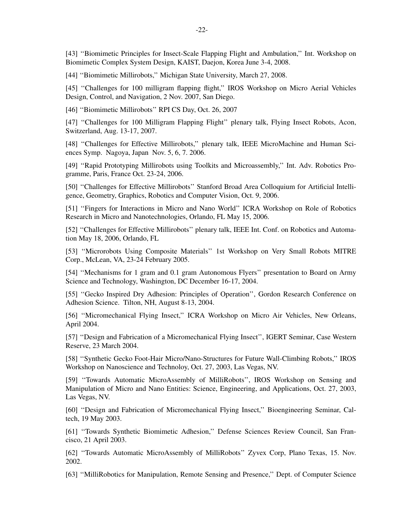[43] ''Biomimetic Principles for Insect-Scale Flapping Flight and Ambulation,'' Int. Workshop on Biomimetic Complex System Design, KAIST, Daejon, Korea June 3-4, 2008.

[44] ''Biomimetic Millirobots,'' Michigan State University, March 27, 2008.

[45] "Challenges for 100 milligram flapping flight," IROS Workshop on Micro Aerial Vehicles Design, Control, and Navigation, 2 Nov. 2007, San Diego.

[46] ''Biomimetic Millirobots'' RPI CS Day, Oct. 26, 2007

[47] ''Challenges for 100 Milligram Flapping Flight'' plenary talk, Flying Insect Robots, Acon, Switzerland, Aug. 13-17, 2007.

[48] "Challenges for Effective Millirobots," plenary talk, IEEE MicroMachine and Human Sciences Symp. Nagoya, Japan Nov. 5, 6, 7. 2006.

[49] ''Rapid Prototyping Millirobots using Toolkits and Microassembly,'' Int. Adv. Robotics Programme, Paris, France Oct. 23-24, 2006.

[50] ''Challenges for Effective Millirobots'' Stanford Broad Area Colloquium for Artificial Intelligence, Geometry, Graphics, Robotics and Computer Vision, Oct. 9, 2006.

[51] ''Fingers for Interactions in Micro and Nano World'' ICRA Workshop on Role of Robotics Research in Micro and Nanotechnologies, Orlando, FL May 15, 2006.

[52] ''Challenges for Effective Millirobots'' plenary talk, IEEE Int. Conf. on Robotics and Automation May 18, 2006, Orlando, FL

[53] ''Microrobots Using Composite Materials'' 1st Workshop on Very Small Robots MITRE Corp., McLean, VA, 23-24 February 2005.

[54] ''Mechanisms for 1 gram and 0.1 gram Autonomous Flyers'' presentation to Board on Army Science and Technology, Washington, DC December 16-17, 2004.

[55] "Gecko Inspired Dry Adhesion: Principles of Operation", Gordon Research Conference on Adhesion Science. Tilton, NH, August 8-13, 2004.

[56] "Micromechanical Flying Insect," ICRA Workshop on Micro Air Vehicles, New Orleans, April 2004.

[57] ''Design and Fabrication of a Micromechanical Flying Insect'', IGERT Seminar, Case Western Reserve, 23 March 2004.

[58] ''Synthetic Gecko Foot-Hair Micro/Nano-Structures for Future Wall-Climbing Robots,'' IROS Workshop on Nanoscience and Technoloy, Oct. 27, 2003, Las Vegas, NV.

[59] ''Tow ards Automatic MicroAssembly of MilliRobots'', IROS Workshop on Sensing and Manipulation of Micro and Nano Entities: Science, Engineering, and Applications, Oct. 27, 2003, Las Vegas, NV.

[60] ''Design and Fabrication of Micromechanical Flying Insect,'' Bioengineering Seminar, Caltech, 19 May 2003.

[61] ''Tow ards Synthetic Biomimetic Adhesion,'' Defense Sciences Review Council, San Francisco, 21 April 2003.

[62] ''Tow ards Automatic MicroAssembly of MilliRobots'' Zyvex Corp, Plano Texas, 15. Nov. 2002.

[63] ''MilliRobotics for Manipulation, Remote Sensing and Presence,'' Dept. of Computer Science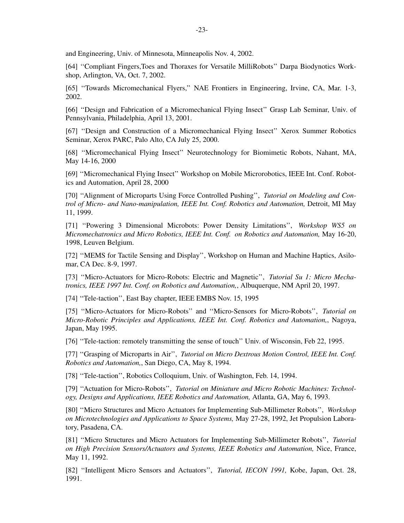and Engineering, Univ. of Minnesota, Minneapolis Nov. 4, 2002.

[64] ''Compliant Fingers,Toes and Thoraxes for Versatile MilliRobots'' Darpa Biodynotics Workshop, Arlington, VA, Oct. 7, 2002.

[65] ''Tow ards Micromechanical Flyers,'' NAE Frontiers in Engineering, Irvine, CA, Mar. 1-3, 2002.

[66] ''Design and Fabrication of a Micromechanical Flying Insect'' Grasp Lab Seminar, Univ. of Pennsylvania, Philadelphia, April 13, 2001.

[67] ''Design and Construction of a Micromechanical Flying Insect'' Xerox Summer Robotics Seminar, Xerox PARC, Palo Alto, CA July 25, 2000.

[68] ''Micromechanical Flying Insect'' Neurotechnology for Biomimetic Robots, Nahant, MA, May 14-16, 2000

[69] ''Micromechanical Flying Insect'' Workshop on Mobile Microrobotics, IEEE Int. Conf. Robotics and Automation, April 28, 2000

[70] ''Alignment of Microparts Using Force Controlled Pushing'', *Tutorial on Modeling and Control of Micro- and Nano-manipulation, IEEE Int. Conf. Robotics and Automation,* Detroit, MI May 11, 1999.

[71] ''Powering 3 Dimensional Microbots: Power Density Limitations'', *Workshop WS5 on Micromechatronics and Micro Robotics, IEEE Int. Conf. on Robotics and Automation,* May 16-20, 1998, Leuven Belgium.

[72] ''MEMS for Tactile Sensing and Display'', Workshop on Human and Machine Haptics, Asilomar, CA Dec. 8-9, 1997.

[73] ''Micro-Actuators for Micro-Robots: Electric and Magnetic'', *Tutorial Su 1: Micro Mechatronics, IEEE 1997 Int. Conf. on Robotics and Automation,*, Albuquerque, NM April 20, 1997.

[74] "Tele-taction", East Bay chapter, IEEE EMBS Nov. 15, 1995

[75] ''Micro-Actuators for Micro-Robots'' and ''Micro-Sensors for Micro-Robots'', *Tutorial on Micro-Robotic Principles and Applications, IEEE Int. Conf. Robotics and Automation,*, Nagoya, Japan, May 1995.

[76] ''Tele-taction: remotely transmitting the sense of touch'' Univ. of Wisconsin, Feb 22, 1995.

[77] ''Grasping of Microparts in Air'', *Tutorial on Micro Dextrous Motion Control, IEEE Int. Conf. Robotics and Automation,*, San Diego, CA, May 8, 1994.

[78] ''Tele-taction'', Robotics Colloquium, Univ. of Washington, Feb. 14, 1994.

[79] ''Actuation for Micro-Robots'', *Tutorial on Miniature and Micro Robotic Machines: Technology, Designs and Applications, IEEE Robotics and Automation,* Atlanta, GA, May 6, 1993.

[80] ''Micro Structures and Micro Actuators for Implementing Sub-Millimeter Robots'', *Workshop on Microtechnologies and Applications to Space Systems,* May 27-28, 1992, Jet Propulsion Laboratory, Pasadena, CA.

[81] ''Micro Structures and Micro Actuators for Implementing Sub-Millimeter Robots'', *Tutorial on High Precision Sensors/Actuators and Systems, IEEE Robotics and Automation,* Nice, France, May 11, 1992.

[82] ''Intelligent Micro Sensors and Actuators'', *Tutorial, IECON 1991,* Kobe, Japan, Oct. 28, 1991.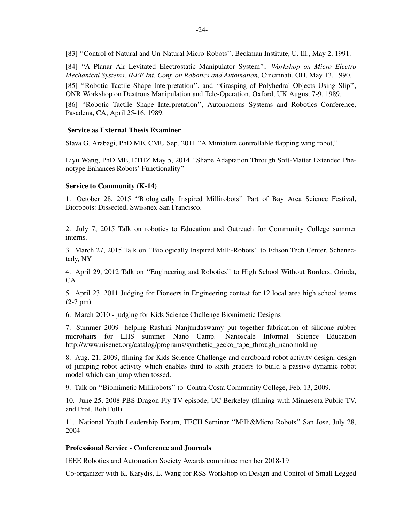[83] ''Control of Natural and Un-Natural Micro-Robots'', Beckman Institute, U. Ill., May 2, 1991.

[84] ''A Planar Air Levitated Electrostatic Manipulator System'', *Workshop on Micro Electro Mechanical Systems, IEEE Int. Conf. on Robotics and Automation,* Cincinnati, OH, May 13, 1990. [85] ''Robotic Tactile Shape Interpretation'', and ''Grasping of Polyhedral Objects Using Slip'', ONR Workshop on Dextrous Manipulation and Tele-Operation, Oxford, UK August 7-9, 1989. [86] ''Robotic Tactile Shape Interpretation'', Autonomous Systems and Robotics Conference, Pasadena, CA, April 25-16, 1989.

# **Service as External Thesis Examiner**

Slava G. Arabagi, PhD ME, CMU Sep. 2011 ''A Miniature controllable flapping wing robot,''

Liyu Wang, PhD ME, ETHZ May 5, 2014 ''Shape Adaptation Through Soft-Matter Extended Phenotype Enhances Robots' Functionality''

### **Service to Community (K-14)**

1. October 28, 2015 ''Biologically Inspired Millirobots'' Part of Bay Area Science Festival, Biorobots: Dissected, Swissnex San Francisco.

2. July 7, 2015 Talk on robotics to Education and Outreach for Community College summer interns.

3. March 27, 2015 Talk on ''Biologically Inspired Milli-Robots'' to Edison Tech Center, Schenectady, NY

4. April 29, 2012 Talk on ''Engineering and Robotics'' to High School Without Borders, Orinda, CA

5. April 23, 2011 Judging for Pioneers in Engineering contest for 12 local area high school teams (2-7 pm)

6. March 2010 - judging for Kids Science Challenge Biomimetic Designs

7. Summer 2009- helping Rashmi Nanjundaswamy put together fabrication of silicone rubber microhairs for LHS summer Nano Camp. Nanoscale Informal Science Education http://www.nisenet.org/catalog/programs/synthetic\_gecko\_tape\_through\_nanomolding

8. Aug. 21, 2009, filming for Kids Science Challenge and cardboard robot activity design, design of jumping robot activity which enables third to sixth graders to build a passive dynamic robot model which can jump when tossed.

9. Talk on ''Biomimetic Millirobots'' to Contra Costa Community College, Feb. 13, 2009.

10. June 25, 2008 PBS Dragon Fly TV episode, UC Berkeley (filming with Minnesota Public TV, and Prof. Bob Full)

11. National Youth Leadership Forum, TECH Seminar ''Milli&Micro Robots'' San Jose, July 28, 2004

# **Professional Service - Conference and Journals**

IEEE Robotics and Automation Society Awards committee member 2018-19

Co-organizer with K. Karydis, L. Wang for RSS Workshop on Design and Control of Small Legged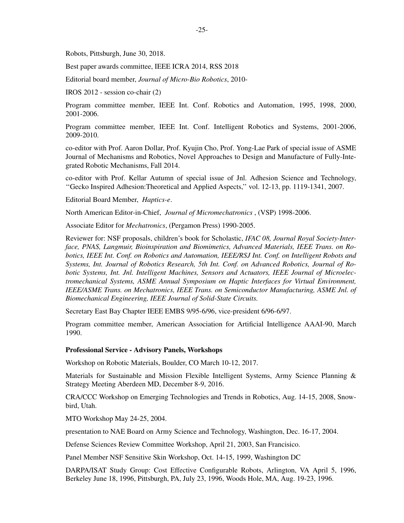Robots, Pittsburgh, June 30, 2018.

Best paper awards committee, IEEE ICRA 2014, RSS 2018

Editorial board member, *Journal of Micro-Bio Robotics*, 2010-

IROS 2012 - session co-chair (2)

Program committee member, IEEE Int. Conf. Robotics and Automation, 1995, 1998, 2000, 2001-2006.

Program committee member, IEEE Int. Conf. Intelligent Robotics and Systems, 2001-2006, 2009-2010.

co-editor with Prof. Aaron Dollar, Prof. Kyujin Cho, Prof. Yong-Lae Park of special issue of ASME Journal of Mechanisms and Robotics, Novel Approaches to Design and Manufacture of Fully-Integrated Robotic Mechanisms, Fall 2014.

co-editor with Prof. Kellar Autumn of special issue of Jnl. Adhesion Science and Technology, ''Gecko Inspired Adhesion:Theoretical and Applied Aspects,'' vol. 12-13, pp. 1119-1341, 2007.

Editorial Board Member, *Haptics-e*.

North American Editor-in-Chief, *Journal of Micromechatronics* , (VSP) 1998-2006.

Associate Editor for *Mechatronics*, (Pergamon Press) 1990-2005.

Reviewer for: NSF proposals, children's book for Scholastic, *IFAC 08, Journal Royal Society-Interface, PNAS, Langmuir, Bioinspiration and Biomimetics, Advanced Materials, IEEE Trans. on Robotics, IEEE Int. Conf. on Robotics and Automation, IEEE/RSJ Int. Conf. on Intelligent Robots and Systems, Int. Journal of Robotics Research, 5th Int. Conf. on Advanced Robotics, Journal of Robotic Systems, Int. Jnl. Intelligent Machines, Sensors and Actuators, IEEE Journal of Microelectromechanical Systems, ASME Annual Symposium on Haptic Interfaces for Virtual Environment, IEEE/ASME Trans. on Mechatronics, IEEE Trans. on Semiconductor Manufacturing, ASME Jnl. of Biomechanical Engineering, IEEE Journal of Solid-State Circuits.*

Secretary East Bay Chapter IEEE EMBS 9/95-6/96, vice-president 6/96-6/97.

Program committee member, American Association for Artificial Intelligence AAAI-90, March 1990.

#### **Professional Service - Advisory Panels, Workshops**

Workshop on Robotic Materials, Boulder, CO March 10-12, 2017.

Materials for Sustainable and Mission Flexible Intelligent Systems, Army Science Planning & Strategy Meeting Aberdeen MD, December 8-9, 2016.

CRA/CCC Workshop on Emerging Technologies and Trends in Robotics, Aug. 14-15, 2008, Snowbird, Utah.

MTO Workshop May 24-25, 2004.

presentation to NAE Board on Army Science and Technology, Washington, Dec. 16-17, 2004.

Defense Sciences Review Committee Workshop, April 21, 2003, San Francisico.

Panel Member NSF Sensitive Skin Workshop, Oct. 14-15, 1999, Washington DC

DARPA/ISAT Study Group: Cost Effective Configurable Robots, Arlington, VA April 5, 1996, Berkeley June 18, 1996, Pittsburgh, PA, July 23, 1996, Woods Hole, MA, Aug. 19-23, 1996.